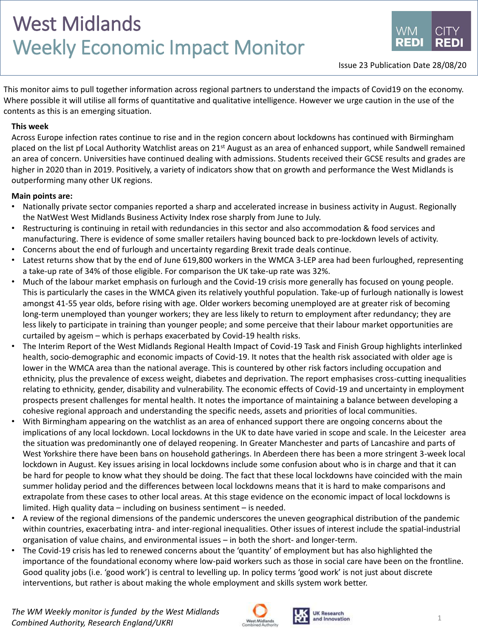# West Midlands Weekly Economic Impact Monitor



This monitor aims to pull together information across regional partners to understand the impacts of Covid19 on the economy. Where possible it will utilise all forms of quantitative and qualitative intelligence. However we urge caution in the use of the contents as this is an emerging situation.

## **This week**

Across Europe infection rates continue to rise and in the region concern about lockdowns has continued with Birmingham placed on the list pf Local Authority Watchlist areas on 21<sup>st</sup> August as an area of enhanced support, while Sandwell remained an area of concern. Universities have continued dealing with admissions. Students received their GCSE results and grades are higher in 2020 than in 2019. Positively, a variety of indicators show that on growth and performance the West Midlands is outperforming many other UK regions.

## **Main points are:**

- Nationally private sector companies reported a sharp and accelerated increase in business activity in August. Regionally the NatWest West Midlands Business Activity Index rose sharply from June to July.
- Restructuring is continuing in retail with redundancies in this sector and also accommodation & food services and manufacturing. There is evidence of some smaller retailers having bounced back to pre-lockdown levels of activity.
- Concerns about the end of furlough and uncertainty regarding Brexit trade deals continue.
- Latest returns show that by the end of June 619,800 workers in the WMCA 3-LEP area had been furloughed, representing a take-up rate of 34% of those eligible. For comparison the UK take-up rate was 32%.
- Much of the labour market emphasis on furlough and the Covid-19 crisis more generally has focused on young people. This is particularly the cases in the WMCA given its relatively youthful population. Take-up of furlough nationally is lowest amongst 41-55 year olds, before rising with age. Older workers becoming unemployed are at greater risk of becoming long-term unemployed than younger workers; they are less likely to return to employment after redundancy; they are less likely to participate in training than younger people; and some perceive that their labour market opportunities are curtailed by ageism – which is perhaps exacerbated by Covid-19 health risks.
- The Interim Report of the West Midlands Regional Health Impact of Covid-19 Task and Finish Group highlights interlinked health, socio-demographic and economic impacts of Covid-19. It notes that the health risk associated with older age is lower in the WMCA area than the national average. This is countered by other risk factors including occupation and ethnicity, plus the prevalence of excess weight, diabetes and deprivation. The report emphasises cross-cutting inequalities relating to ethnicity, gender, disability and vulnerability. The economic effects of Covid-19 and uncertainty in employment prospects present challenges for mental health. It notes the importance of maintaining a balance between developing a cohesive regional approach and understanding the specific needs, assets and priorities of local communities.
- With Birmingham appearing on the watchlist as an area of enhanced support there are ongoing concerns about the implications of any local lockdown. Local lockdowns in the UK to date have varied in scope and scale. In the Leicester area the situation was predominantly one of delayed reopening. In Greater Manchester and parts of Lancashire and parts of

*The WM Weekly monitor is funded by the West Midlands Combined Authority, Research England/UKRI* **1999 Combined Authority** 1 **Combined Authority** 1 **Combined Authority** 1



West Yorkshire there have been bans on household gatherings. In Aberdeen there has been a more stringent 3-week local lockdown in August. Key issues arising in local lockdowns include some confusion about who is in charge and that it can be hard for people to know what they should be doing. The fact that these local lockdowns have coincided with the main summer holiday period and the differences between local lockdowns means that it is hard to make comparisons and extrapolate from these cases to other local areas. At this stage evidence on the economic impact of local lockdowns is limited. High quality data – including on business sentiment – is needed.

- A review of the regional dimensions of the pandemic underscores the uneven geographical distribution of the pandemic within countries, exacerbating intra- and inter-regional inequalities. Other issues of interest include the spatial-industrial organisation of value chains, and environmental issues – in both the short- and longer-term.
- The Covid-19 crisis has led to renewed concerns about the 'quantity' of employment but has also highlighted the importance of the foundational economy where low-paid workers such as those in social care have been on the frontline. Good quality jobs (i.e. 'good work') is central to levelling up. In policy terms 'good work' is not just about discrete interventions, but rather is about making the whole employment and skills system work better.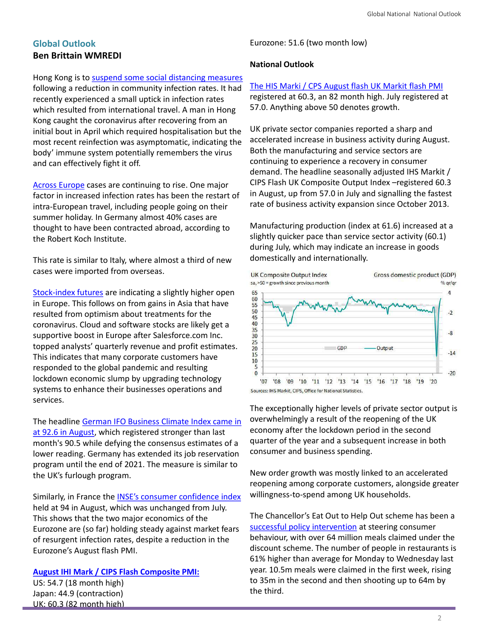## **Global Outlook Ben Brittain WMREDI**

Hong Kong is to [suspend some social distancing measures](https://www.bloomberg.com/news/articles/2020-08-25/hong-kong-to-announce-new-social-distancing-rules-as-cases-drop) following a reduction in community infection rates. It had recently experienced a small uptick in infection rates which resulted from international travel. A man in Hong Kong caught the coronavirus after recovering from an initial bout in April which required hospitalisation but the most recent reinfection was asymptomatic, indicating the body' immune system potentially remembers the virus and can effectively fight it off.

[Across Europe](https://www.ft.com/content/25da4c31-f79a-4aa2-a9c9-a5c31546e5df) cases are continuing to rise. One major factor in increased infection rates has been the restart of intra-European travel, including people going on their summer holiday. In Germany almost 40% cases are thought to have been contracted abroad, according to the Robert Koch Institute.

This rate is similar to Italy, where almost a third of new cases were imported from overseas.

Similarly, in France the **[INSE's consumer confidence index](https://uk.reuters.com/article/us-france-economy-consumersentiment/french-consumer-confidence-holds-steady-in-august-idUKKBN25M0M7)** held at 94 in August, which was unchanged from July. This shows that the two major economics of the Eurozone are (so far) holding steady against market fears of resurgent infection rates, despite a reduction in the Eurozone's August flash PMI.

[Stock-index futures](https://uk.investing.com/indices/indices-futures) are indicating a slightly higher open in Europe. This follows on from gains in Asia that have resulted from optimism about treatments for the coronavirus. Cloud and software stocks are likely get a supportive boost in Europe after Salesforce.com Inc. topped analysts' quarterly revenue and profit estimates. This indicates that many corporate customers have responded to the global pandemic and resulting lockdown economic slump by upgrading technology systems to enhance their businesses operations and services.

[The headline German IFO Business Climate Index came in](https://www.ft.com/content/2a882ec3-0477-41b4-8d53-48b6a90effd0)  at 92.6 in August, which registered stronger than last month's 90.5 while defying the consensus estimates of a lower reading. Germany has extended its job reservation program until the end of 2021. The measure is similar to the UK's furlough program.

**[August IHI Mark / CIPS Flash Composite PMI:](https://www.markiteconomics.com/Public/Release/PressReleases)**

US: 54.7 (18 month high) Japan: 44.9 (contraction) UK: 60.3 (82 month high) Eurozone: 51.6 (two month low)

#### **National Outlook**

## The HIS Marki [/ CPS August flash UK Markit](https://www.markiteconomics.com/Public/Home/PressRelease/cb9e40f687064dd2b0cbc9324d5dd4ae) flash PMI

registered at 60.3, an 82 month high. July registered at 57.0. Anything above 50 denotes growth.

UK private sector companies reported a sharp and accelerated increase in business activity during August. Both the manufacturing and service sectors are continuing to experience a recovery in consumer demand. The headline seasonally adjusted IHS Markit / CIPS Flash UK Composite Output Index –registered 60.3 in August, up from 57.0 in July and signalling the fastest rate of business activity expansion since October 2013.

Manufacturing production (index at 61.6) increased at a slightly quicker pace than service sector activity (60.1) during July, which may indicate an increase in goods domestically and internationally.



The exceptionally higher levels of private sector output is overwhelmingly a result of the reopening of the UK economy after the lockdown period in the second quarter of the year and a subsequent increase in both

consumer and business spending.

New order growth was mostly linked to an accelerated reopening among corporate customers, alongside greater willingness-to-spend among UK households.

The Chancellor's Eat Out to Help Out scheme has been a [successful policy intervention](https://www.theguardian.com/business/2020/aug/25/eat-out-to-help-out-64m-meals-claimed-in-uk-under-scheme) at steering consumer behaviour, with over 64 million meals claimed under the discount scheme. The number of people in restaurants is 61% higher than average for Monday to Wednesday last year. 10.5m meals were claimed in the first week, rising to 35m in the second and then shooting up to 64m by the third.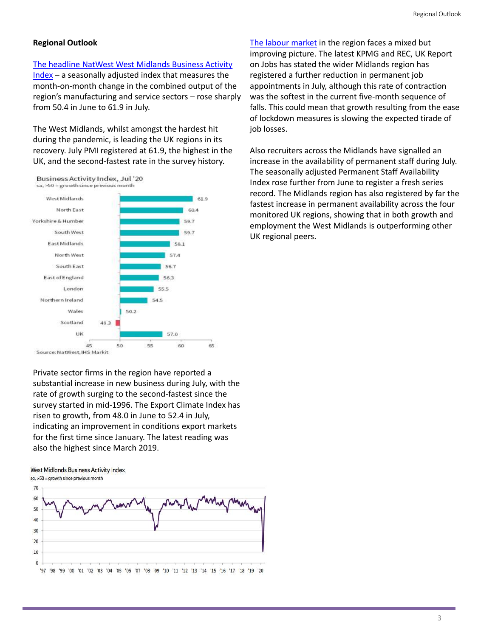#### **Regional Outlook**

#### [The headline NatWest West Midlands Business Activity](https://media.natwestbusinesshub.com/hddEIybgTTaWxb0mVVbf)

 $Index - a$  seasonally adjusted index that measures the month-on-month change in the combined output of the region's manufacturing and service sectors – rose sharply from 50.4 in June to 61.9 in July.

The West Midlands, whilst amongst the hardest hit during the pandemic, is leading the UK regions in its recovery. July PMI registered at 61.9, the highest in the UK, and the second-fastest rate in the survey history.



Private sector firms in the region have reported a substantial increase in new business during July, with the rate of growth surging to the second-fastest since the survey started in mid-1996. The Export Climate Index has risen to growth, from 48.0 in June to 52.4 in July, indicating an improvement in conditions export markets for the first time since January. The latest reading was

#### also the highest since March 2019.

West Midlands Business Activity Index sa, >50 = growth since previous month



[The labour market](https://www.markiteconomics.com/Public/Home/PressRelease/97ebee2f6c144604b51053ccc1558d17) in the region faces a mixed but

improving picture. The latest KPMG and REC, UK Report

on Jobs has stated the wider Midlands region has registered a further reduction in permanent job appointments in July, although this rate of contraction was the softest in the current five-month sequence of falls. This could mean that growth resulting from the ease of lockdown measures is slowing the expected tirade of job losses.

> Also recruiters across the Midlands have signalled an increase in the availability of permanent staff during July. The seasonally adjusted Permanent Staff Availability Index rose further from June to register a fresh series record. The Midlands region has also registered by far the fastest increase in permanent availability across the four monitored UK regions, showing that in both growth and employment the West Midlands is outperforming other UK regional peers.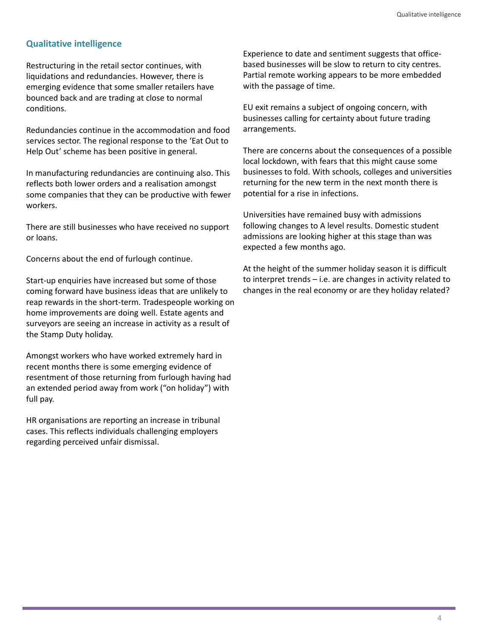## **Qualitative intelligence**

Restructuring in the retail sector continues, with liquidations and redundancies. However, there is emerging evidence that some smaller retailers have bounced back and are trading at close to normal conditions.

Redundancies continue in the accommodation and food services sector. The regional response to the 'Eat Out to Help Out' scheme has been positive in general.

In manufacturing redundancies are continuing also. This reflects both lower orders and a realisation amongst some companies that they can be productive with fewer workers.

There are still businesses who have received no support or loans.

Concerns about the end of furlough continue.

Start-up enquiries have increased but some of those coming forward have business ideas that are unlikely to reap rewards in the short-term. Tradespeople working on home improvements are doing well. Estate agents and surveyors are seeing an increase in activity as a result of the Stamp Duty holiday.

Amongst workers who have worked extremely hard in recent months there is some emerging evidence of resentment of those returning from furlough having had an extended period away from work ("on holiday") with full pay.

HR organisations are reporting an increase in tribunal cases. This reflects individuals challenging employers regarding perceived unfair dismissal.

Experience to date and sentiment suggests that officebased businesses will be slow to return to city centres. Partial remote working appears to be more embedded with the passage of time.

EU exit remains a subject of ongoing concern, with businesses calling for certainty about future trading arrangements.

There are concerns about the consequences of a possible local lockdown, with fears that this might cause some businesses to fold. With schools, colleges and universities returning for the new term in the next month there is potential for a rise in infections.

Universities have remained busy with admissions following changes to A level results. Domestic student admissions are looking higher at this stage than was expected a few months ago.

At the height of the summer holiday season it is difficult to interpret trends – i.e. are changes in activity related to changes in the real economy or are they holiday related?

4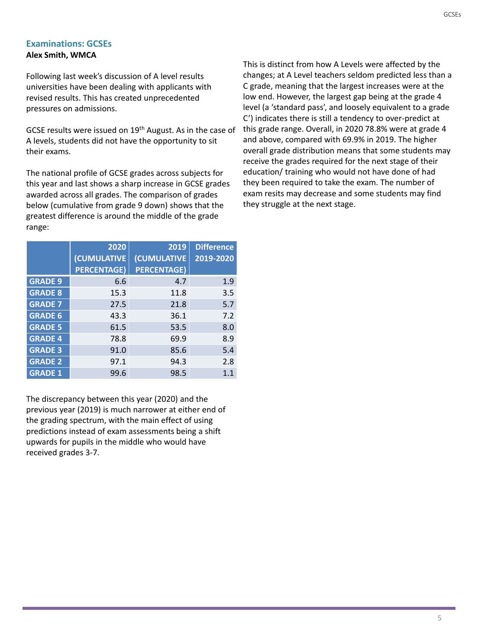## **Examinations: GCSEs Alex Smith, WMCA**

Following last week's discussion of A level results universities have been dealing with applicants with revised results. This has created unprecedented pressures on admissions.

GCSE results were issued on 19<sup>th</sup> August. As in the case of A levels, students did not have the opportunity to sit their exams.

The national profile of GCSE grades across subjects for this year and last shows a sharp increase in GCSE grades awarded across all grades. The comparison of grades below (cumulative from grade 9 down) shows that the greatest difference is around the middle of the grade range:

The discrepancy between this year (2020) and the previous year (2019) is much narrower at either end of the grading spectrum, with the main effect of using predictions instead of exam assessments being a shift upwards for pupils in the middle who would have

received grades 3-7.

This is distinct from how A Levels were affected by the changes; at A Level teachers seldom predicted less than a C grade, meaning that the largest increases were at the low end. However, the largest gap being at the grade 4 level (a 'standard pass', and loosely equivalent to a grade C') indicates there is still a tendency to over-predict at this grade range. Overall, in 2020 78.8% were at grade 4 and above, compared with 69.9% in 2019. The higher overall grade distribution means that some students may receive the grades required for the next stage of their education/ training who would not have done of had they been required to take the exam. The number of exam resits may decrease and some students may find they struggle at the next stage.

|                | 2020               | 2019               | <b>Difference</b> |
|----------------|--------------------|--------------------|-------------------|
|                | <b>(CUMULATIVE</b> | <b>(CUMULATIVE</b> | 2019-2020         |
|                | <b>PERCENTAGE)</b> | <b>PERCENTAGE)</b> |                   |
| <b>GRADE 9</b> | 6.6                | 4.7                | 1.9               |
| <b>GRADE 8</b> | 15.3               | 11.8               | 3.5               |
| <b>GRADE 7</b> | 27.5               | 21.8               | 5.7               |
| <b>GRADE 6</b> | 43.3               | 36.1               | 7.2               |
| <b>GRADE 5</b> | 61.5               | 53.5               | 8.0               |
| <b>GRADE 4</b> | 78.8               | 69.9               | 8.9               |
| <b>GRADE 3</b> | 91.0               | 85.6               | 5.4               |
| <b>GRADE 2</b> | 97.1               | 94.3               | 2.8               |
| <b>GRADE 1</b> | 99.6               | 98.5               | 1.1               |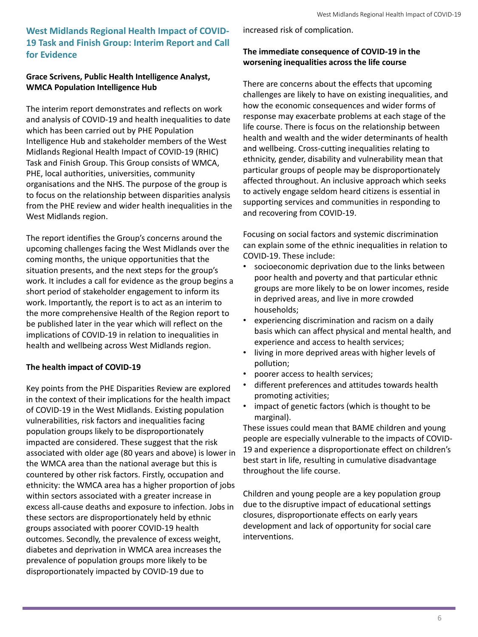# **West Midlands Regional Health Impact of COVID-19 Task and Finish Group: Interim Report and Call for Evidence**

## **Grace Scrivens, Public Health Intelligence Analyst, WMCA Population Intelligence Hub**

The interim report demonstrates and reflects on work and analysis of COVID-19 and health inequalities to date which has been carried out by PHE Population Intelligence Hub and stakeholder members of the West Midlands Regional Health Impact of COVID-19 (RHIC) Task and Finish Group. This Group consists of WMCA, PHE, local authorities, universities, community organisations and the NHS. The purpose of the group is to focus on the relationship between disparities analysis from the PHE review and wider health inequalities in the West Midlands region.

The report identifies the Group's concerns around the upcoming challenges facing the West Midlands over the coming months, the unique opportunities that the situation presents, and the next steps for the group's work. It includes a call for evidence as the group begins a short period of stakeholder engagement to inform its work. Importantly, the report is to act as an interim to the more comprehensive Health of the Region report to be published later in the year which will reflect on the implications of COVID-19 in relation to inequalities in health and wellbeing across West Midlands region.

## **The health impact of COVID-19**

Key points from the PHE Disparities Review are explored in the context of their implications for the health impact of COVID-19 in the West Midlands. Existing population vulnerabilities, risk factors and inequalities facing population groups likely to be disproportionately impacted are considered. These suggest that the risk associated with older age (80 years and above) is lower in the WMCA area than the national average but this is countered by other risk factors. Firstly, occupation and ethnicity: the WMCA area has a higher proportion of jobs within sectors associated with a greater increase in excess all-cause deaths and exposure to infection. Jobs in these sectors are disproportionately held by ethnic groups associated with poorer COVID-19 health outcomes. Secondly, the prevalence of excess weight, diabetes and deprivation in WMCA area increases the prevalence of population groups more likely to be disproportionately impacted by COVID-19 due to

- socioeconomic deprivation due to the links between poor health and poverty and that particular ethnic groups are more likely to be on lower incomes, reside in deprived areas, and live in more crowded households;
- experiencing discrimination and racism on a daily basis which can affect physical and mental health, and experience and access to health services;
- living in more deprived areas with higher levels of pollution;
- poorer access to health services;
- different preferences and attitudes towards health promoting activities;
- impact of genetic factors (which is thought to be marginal).

increased risk of complication.

## **The immediate consequence of COVID-19 in the worsening inequalities across the life course**

There are concerns about the effects that upcoming challenges are likely to have on existing inequalities, and how the economic consequences and wider forms of response may exacerbate problems at each stage of the life course. There is focus on the relationship between health and wealth and the wider determinants of health and wellbeing. Cross-cutting inequalities relating to ethnicity, gender, disability and vulnerability mean that particular groups of people may be disproportionately affected throughout. An inclusive approach which seeks to actively engage seldom heard citizens is essential in supporting services and communities in responding to and recovering from COVID-19.

Focusing on social factors and systemic discrimination can explain some of the ethnic inequalities in relation to COVID-19. These include:

These issues could mean that BAME children and young people are especially vulnerable to the impacts of COVID-19 and experience a disproportionate effect on children's best start in life, resulting in cumulative disadvantage throughout the life course.

Children and young people are a key population group due to the disruptive impact of educational settings closures, disproportionate effects on early years development and lack of opportunity for social care interventions.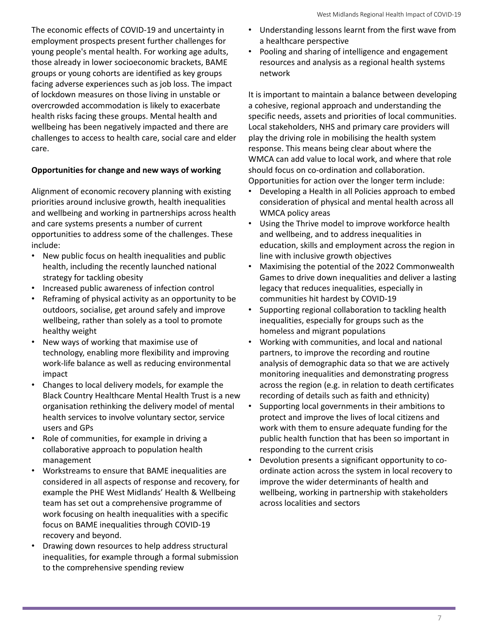The economic effects of COVID-19 and uncertainty in employment prospects present further challenges for young people's mental health. For working age adults, those already in lower socioeconomic brackets, BAME groups or young cohorts are identified as key groups facing adverse experiences such as job loss. The impact of lockdown measures on those living in unstable or overcrowded accommodation is likely to exacerbate health risks facing these groups. Mental health and wellbeing has been negatively impacted and there are challenges to access to health care, social care and elder care.

## **Opportunities for change and new ways of working**

Alignment of economic recovery planning with existing priorities around inclusive growth, health inequalities and wellbeing and working in partnerships across health and care systems presents a number of current opportunities to address some of the challenges. These include:

- New public focus on health inequalities and public health, including the recently launched national strategy for tackling obesity
- Increased public awareness of infection control
- Reframing of physical activity as an opportunity to be outdoors, socialise, get around safely and improve wellbeing, rather than solely as a tool to promote healthy weight
- New ways of working that maximise use of technology, enabling more flexibility and improving work-life balance as well as reducing environmental impact
- Changes to local delivery models, for example the Black Country Healthcare Mental Health Trust is a new organisation rethinking the delivery model of mental health services to involve voluntary sector, service users and GPs
- Role of communities, for example in driving a collaborative approach to population health management
- Understanding lessons learnt from the first wave from a healthcare perspective
- Pooling and sharing of intelligence and engagement resources and analysis as a regional health systems network

- Developing a Health in all Policies approach to embed consideration of physical and mental health across all WMCA policy areas
- Using the Thrive model to improve workforce health and wellbeing, and to address inequalities in education, skills and employment across the region in line with inclusive growth objectives
- Maximising the potential of the 2022 Commonwealth Games to drive down inequalities and deliver a lasting legacy that reduces inequalities, especially in communities hit hardest by COVID-19
- Supporting regional collaboration to tackling health inequalities, especially for groups such as the homeless and migrant populations
- Working with communities, and local and national partners, to improve the recording and routine analysis of demographic data so that we are actively monitoring inequalities and demonstrating progress across the region (e.g. in relation to death certificates recording of details such as faith and ethnicity)
- Supporting local governments in their ambitions to protect and improve the lives of local citizens and work with them to ensure adequate funding for the public health function that has been so important in
- Workstreams to ensure that BAME inequalities are considered in all aspects of response and recovery, for example the PHE West Midlands' Health & Wellbeing team has set out a comprehensive programme of work focusing on health inequalities with a specific focus on BAME inequalities through COVID-19 recovery and beyond.
- Drawing down resources to help address structural inequalities, for example through a formal submission to the comprehensive spending review

It is important to maintain a balance between developing a cohesive, regional approach and understanding the specific needs, assets and priorities of local communities. Local stakeholders, NHS and primary care providers will play the driving role in mobilising the health system response. This means being clear about where the WMCA can add value to local work, and where that role should focus on co-ordination and collaboration. Opportunities for action over the longer term include:

- responding to the current crisis
- Devolution presents a significant opportunity to coordinate action across the system in local recovery to improve the wider determinants of health and wellbeing, working in partnership with stakeholders across localities and sectors

7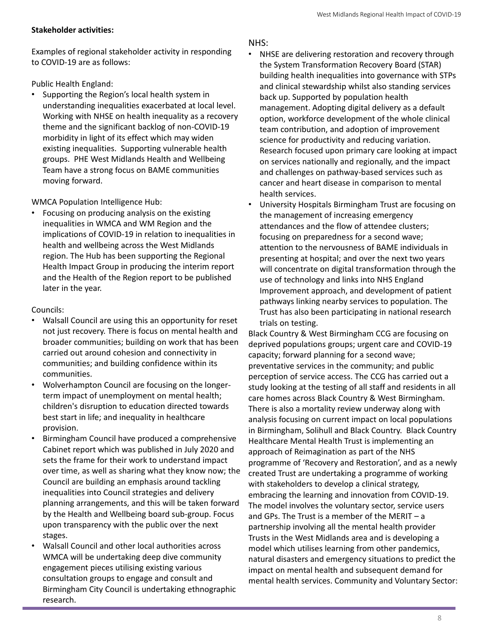## **Stakeholder activities:**

Examples of regional stakeholder activity in responding to COVID-19 are as follows:

Public Health England:

• Supporting the Region's local health system in understanding inequalities exacerbated at local level. Working with NHSE on health inequality as a recovery theme and the significant backlog of non-COVID-19 morbidity in light of its effect which may widen existing inequalities. Supporting vulnerable health groups. PHE West Midlands Health and Wellbeing Team have a strong focus on BAME communities moving forward.

WMCA Population Intelligence Hub:

• Focusing on producing analysis on the existing inequalities in WMCA and WM Region and the implications of COVID-19 in relation to inequalities in health and wellbeing across the West Midlands region. The Hub has been supporting the Regional Health Impact Group in producing the interim report and the Health of the Region report to be published later in the year.

Councils:

- Walsall Council are using this an opportunity for reset not just recovery. There is focus on mental health and broader communities; building on work that has been carried out around cohesion and connectivity in communities; and building confidence within its communities.
- Wolverhampton Council are focusing on the longerterm impact of unemployment on mental health; children's disruption to education directed towards best start in life; and inequality in healthcare provision.
- Birmingham Council have produced a comprehensive

Cabinet report which was published in July 2020 and sets the frame for their work to understand impact over time, as well as sharing what they know now; the Council are building an emphasis around tackling inequalities into Council strategies and delivery planning arrangements, and this will be taken forward by the Health and Wellbeing board sub-group. Focus upon transparency with the public over the next stages.

• Walsall Council and other local authorities across WMCA will be undertaking deep dive community engagement pieces utilising existing various consultation groups to engage and consult and Birmingham City Council is undertaking ethnographic research.

## NHS:

- NHSE are delivering restoration and recovery through the System Transformation Recovery Board (STAR) building health inequalities into governance with STPs and clinical stewardship whilst also standing services back up. Supported by population health management. Adopting digital delivery as a default option, workforce development of the whole clinical team contribution, and adoption of improvement science for productivity and reducing variation. Research focused upon primary care looking at impact on services nationally and regionally, and the impact and challenges on pathway-based services such as cancer and heart disease in comparison to mental health services.
- University Hospitals Birmingham Trust are focusing on the management of increasing emergency attendances and the flow of attendee clusters; focusing on preparedness for a second wave; attention to the nervousness of BAME individuals in presenting at hospital; and over the next two years will concentrate on digital transformation through the use of technology and links into NHS England Improvement approach, and development of patient pathways linking nearby services to population. The Trust has also been participating in national research trials on testing.

Black Country & West Birmingham CCG are focusing on deprived populations groups; urgent care and COVID-19 capacity; forward planning for a second wave; preventative services in the community; and public perception of service access. The CCG has carried out a study looking at the testing of all staff and residents in all care homes across Black Country & West Birmingham. There is also a mortality review underway along with analysis focusing on current impact on local populations in Birmingham, Solihull and Black Country. Black Country Healthcare Mental Health Trust is implementing an approach of Reimagination as part of the NHS programme of 'Recovery and Restoration', and as a newly created Trust are undertaking a programme of working with stakeholders to develop a clinical strategy, embracing the learning and innovation from COVID-19. The model involves the voluntary sector, service users and GPs. The Trust is a member of the MERIT  $-$  a partnership involving all the mental health provider Trusts in the West Midlands area and is developing a model which utilises learning from other pandemics, natural disasters and emergency situations to predict the impact on mental health and subsequent demand for mental health services. Community and Voluntary Sector: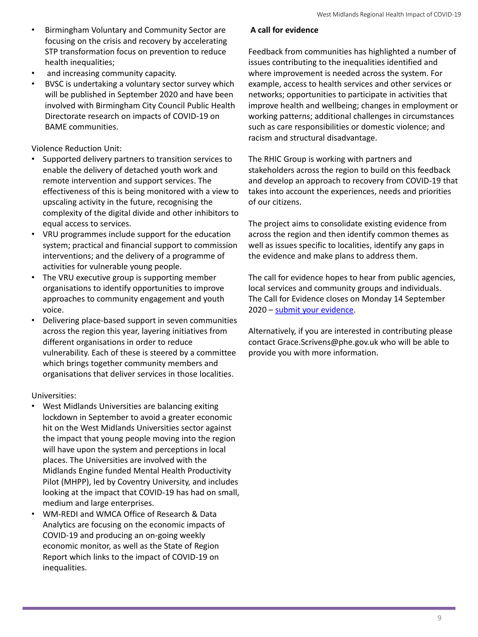- Birmingham Voluntary and Community Sector are focusing on the crisis and recovery by accelerating STP transformation focus on prevention to reduce health inequalities;
- and increasing community capacity.
- BVSC is undertaking a voluntary sector survey which will be published in September 2020 and have been involved with Birmingham City Council Public Health Directorate research on impacts of COVID-19 on BAME communities.

Violence Reduction Unit:

- Supported delivery partners to transition services to enable the delivery of detached youth work and remote intervention and support services. The effectiveness of this is being monitored with a view to upscaling activity in the future, recognising the complexity of the digital divide and other inhibitors to equal access to services.
- VRU programmes include support for the education system; practical and financial support to commission interventions; and the delivery of a programme of activities for vulnerable young people.
- The VRU executive group is supporting member organisations to identify opportunities to improve approaches to community engagement and youth voice.
- Delivering place-based support in seven communities across the region this year, layering initiatives from different organisations in order to reduce vulnerability. Each of these is steered by a committee which brings together community members and organisations that deliver services in those localities.

Universities:

• West Midlands Universities are balancing exiting lockdown in September to avoid a greater economic hit on the West Midlands Universities sector against the impact that young people moving into the region

will have upon the system and perceptions in local places. The Universities are involved with the Midlands Engine funded Mental Health Productivity Pilot (MHPP), led by Coventry University, and includes looking at the impact that COVID-19 has had on small, medium and large enterprises.

• WM-REDI and WMCA Office of Research & Data Analytics are focusing on the economic impacts of COVID-19 and producing an on-going weekly economic monitor, as well as the State of Region Report which links to the impact of COVID-19 on inequalities.

## **A call for evidence**

Feedback from communities has highlighted a number of issues contributing to the inequalities identified and where improvement is needed across the system. For example, access to health services and other services or networks; opportunities to participate in activities that improve health and wellbeing; changes in employment or working patterns; additional challenges in circumstances such as care responsibilities or domestic violence; and racism and structural disadvantage.

The RHIC Group is working with partners and stakeholders across the region to build on this feedback and develop an approach to recovery from COVID-19 that takes into account the experiences, needs and priorities of our citizens.

The project aims to consolidate existing evidence from across the region and then identify common themes as well as issues specific to localities, identify any gaps in the evidence and make plans to address them.

The call for evidence hopes to hear from public agencies, local services and community groups and individuals. The Call for Evidence closes on Monday 14 September 2020 – [submit your evidence](https://www.wmca.org.uk/what-we-do/public-service-reform/regional-health-impact-of-covid-19-call-for-evidence/).

Alternatively, if you are interested in contributing please contact Grace.Scrivens@phe.gov.uk who will be able to provide you with more information.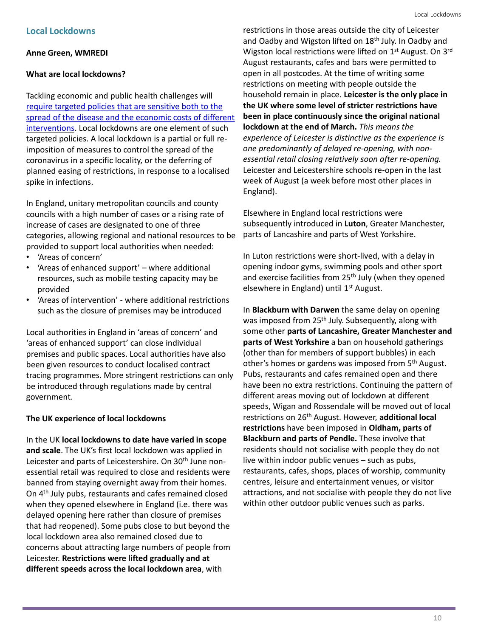## **Local Lockdowns**

#### **Anne Green, WMREDI**

#### **What are local lockdowns?**

Tackling economic and public health challenges will require targeted policies that are sensitive both to the [spread of the disease and the economic costs of different](https://rs-delve.github.io/reports/2020/08/14/economic-aspects-of-the-covid19-crisis-in-the-uk.html)  interventions. Local lockdowns are one element of such targeted policies. A local lockdown is a partial or full reimposition of measures to control the spread of the coronavirus in a specific locality, or the deferring of planned easing of restrictions, in response to a localised spike in infections.

In England, unitary metropolitan councils and county councils with a high number of cases or a rising rate of increase of cases are designated to one of three categories, allowing regional and national resources to be provided to support local authorities when needed:

- 'Areas of concern'
- 'Areas of enhanced support' where additional resources, such as mobile testing capacity may be provided
- 'Areas of intervention' where additional restrictions such as the closure of premises may be introduced

Local authorities in England in 'areas of concern' and 'areas of enhanced support' can close individual premises and public spaces. Local authorities have also been given resources to conduct localised contract tracing programmes. More stringent restrictions can only be introduced through regulations made by central government.

## **The UK experience of local lockdowns**

In the UK **local lockdowns to date have varied in scope** 

In Luton restrictions were short-lived, with a delay in opening indoor gyms, swimming pools and other sport and exercise facilities from 25<sup>th</sup> July (when they opened elsewhere in England) until 1<sup>st</sup> August.

**and scale**. The UK's first local lockdown was applied in Leicester and parts of Leicestershire. On 30<sup>th</sup> June nonessential retail was required to close and residents were banned from staying overnight away from their homes. On 4th July pubs, restaurants and cafes remained closed when they opened elsewhere in England (i.e. there was delayed opening here rather than closure of premises that had reopened). Some pubs close to but beyond the local lockdown area also remained closed due to concerns about attracting large numbers of people from Leicester. **Restrictions were lifted gradually and at different speeds across the local lockdown area**, with

restrictions in those areas outside the city of Leicester and Oadby and Wigston lifted on 18<sup>th</sup> July. In Oadby and Wigston local restrictions were lifted on 1<sup>st</sup> August. On 3<sup>rd</sup> August restaurants, cafes and bars were permitted to open in all postcodes. At the time of writing some restrictions on meeting with people outside the household remain in place. **Leicester is the only place in the UK where some level of stricter restrictions have been in place continuously since the original national lockdown at the end of March.** *This means the experience of Leicester is distinctive as the experience is one predominantly of delayed re-opening, with nonessential retail closing relatively soon after re-opening.*  Leicester and Leicestershire schools re-open in the last week of August (a week before most other places in England).

Elsewhere in England local restrictions were subsequently introduced in **Luton**, Greater Manchester, parts of Lancashire and parts of West Yorkshire.

In **Blackburn with Darwen** the same delay on opening was imposed from 25<sup>th</sup> July. Subsequently, along with some other **parts of Lancashire, Greater Manchester and parts of West Yorkshire** a ban on household gatherings (other than for members of support bubbles) in each other's homes or gardens was imposed from 5<sup>th</sup> August. Pubs, restaurants and cafes remained open and there have been no extra restrictions. Continuing the pattern of different areas moving out of lockdown at different speeds, Wigan and Rossendale will be moved out of local restrictions on 26th August. However, **additional local restrictions** have been imposed in **Oldham, parts of Blackburn and parts of Pendle.** These involve that residents should not socialise with people they do not live within indoor public venues – such as pubs, restaurants, cafes, shops, places of worship, community centres, leisure and entertainment venues, or visitor attractions, and not socialise with people they do not live within other outdoor public venues such as parks.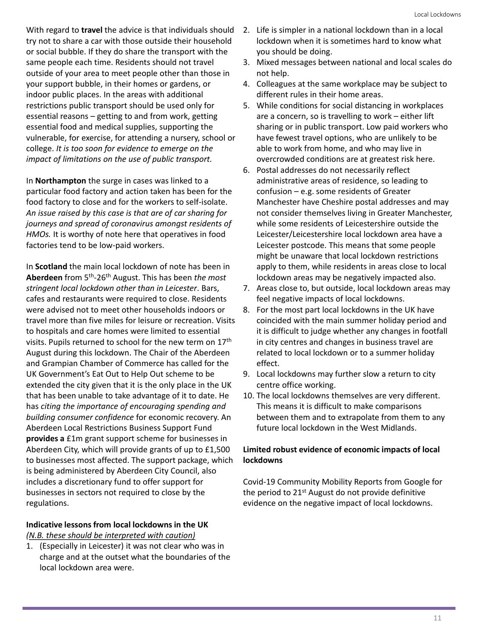With regard to **travel** the advice is that individuals should try not to share a car with those outside their household or social bubble. If they do share the transport with the same people each time. Residents should not travel outside of your area to meet people other than those in your support bubble, in their homes or gardens, or indoor public places. In the areas with additional restrictions public transport should be used only for essential reasons – getting to and from work, getting essential food and medical supplies, supporting the vulnerable, for exercise, for attending a nursery, school or college. *It is too soon for evidence to emerge on the impact of limitations on the use of public transport.*

In **Northampton** the surge in cases was linked to a particular food factory and action taken has been for the food factory to close and for the workers to self-isolate. *An issue raised by this case is that are of car sharing for journeys and spread of coronavirus amongst residents of HMOs.* It is worthy of note here that operatives in food factories tend to be low-paid workers.

In **Scotland** the main local lockdown of note has been in **Aberdeen** from 5th -26th August. This has been *the most stringent local lockdown other than in Leicester*. Bars, cafes and restaurants were required to close. Residents were advised not to meet other households indoors or travel more than five miles for leisure or recreation. Visits to hospitals and care homes were limited to essential visits. Pupils returned to school for the new term on 17th August during this lockdown. The Chair of the Aberdeen and Grampian Chamber of Commerce has called for the UK Government's Eat Out to Help Out scheme to be extended the city given that it is the only place in the UK that has been unable to take advantage of it to date. He has *citing the importance of encouraging spending and building consumer confidence* for economic recovery. An Aberdeen Local Restrictions Business Support Fund **provides a** £1m grant support scheme for businesses in Aberdeen City, which will provide grants of up to £1,500 to businesses most affected. The support package, which is being administered by Aberdeen City Council, also includes a discretionary fund to offer support for businesses in sectors not required to close by the regulations.

#### **Indicative lessons from local lockdowns in the UK**

*(N.B. these should be interpreted with caution)*

1. (Especially in Leicester) it was not clear who was in charge and at the outset what the boundaries of the local lockdown area were.

- 2. Life is simpler in a national lockdown than in a local lockdown when it is sometimes hard to know what you should be doing.
- 3. Mixed messages between national and local scales do not help.
- 4. Colleagues at the same workplace may be subject to different rules in their home areas.
- 5. While conditions for social distancing in workplaces are a concern, so is travelling to work – either lift sharing or in public transport. Low paid workers who have fewest travel options, who are unlikely to be able to work from home, and who may live in overcrowded conditions are at greatest risk here.
- 6. Postal addresses do not necessarily reflect administrative areas of residence, so leading to confusion – e.g. some residents of Greater Manchester have Cheshire postal addresses and may not consider themselves living in Greater Manchester, while some residents of Leicestershire outside the Leicester/Leicestershire local lockdown area have a Leicester postcode. This means that some people might be unaware that local lockdown restrictions apply to them, while residents in areas close to local lockdown areas may be negatively impacted also.
- 7. Areas close to, but outside, local lockdown areas may feel negative impacts of local lockdowns.
- 8. For the most part local lockdowns in the UK have coincided with the main summer holiday period and it is difficult to judge whether any changes in footfall in city centres and changes in business travel are related to local lockdown or to a summer holiday effect.
- 9. Local lockdowns may further slow a return to city centre office working.
- 10. The local lockdowns themselves are very different. This means it is difficult to make comparisons between them and to extrapolate from them to any future local lockdown in the West Midlands.
- 

#### **Limited robust evidence of economic impacts of local lockdowns**

Covid-19 Community Mobility Reports from Google for the period to 21<sup>st</sup> August do not provide definitive evidence on the negative impact of local lockdowns.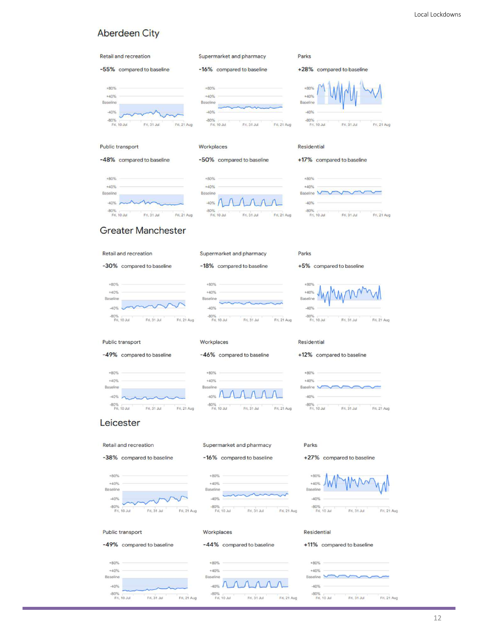## **Aberdeen City**



#### Leicester

Retail and recreation

Parks

#### -38% compared to baseline

#### -16% compared to baseline

#### +27% compared to baseline







|  |  |  | Public transport |
|--|--|--|------------------|
|  |  |  |                  |

-49% compared to baseline



Workplaces

Residential

+11% compared to baseline





| Fri. 31 Jul | Fri, 21 Aug |  |
|-------------|-------------|--|
| Fri, 10 Jul |             |  |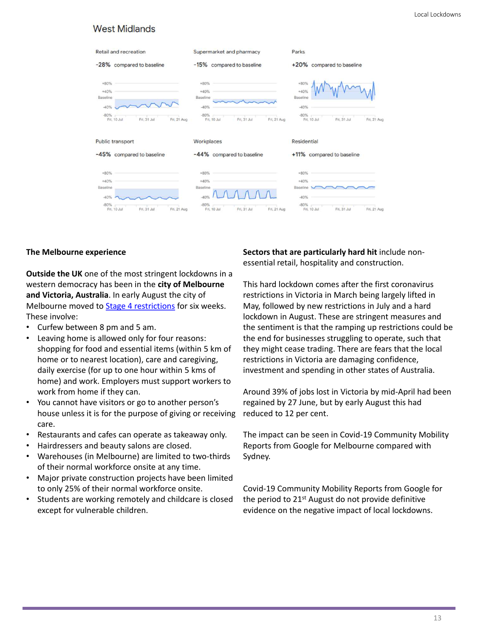## **West Midlands**



#### **The Melbourne experience**

**Outside the UK** one of the most stringent lockdowns in a western democracy has been in the **city of Melbourne and Victoria, Australia**. In early August the city of Melbourne moved to [Stage 4 restrictions](https://www.vic.gov.au/coronavirus-covid-19-restrictions-victoria#stage-4-restrictions-for-melbourne-and-stage-3-restrictions-for-regional-victoria) for six weeks. These involve:

- Curfew between 8 pm and 5 am.
- Leaving home is allowed only for four reasons: shopping for food and essential items (within 5 km of home or to nearest location), care and caregiving, daily exercise (for up to one hour within 5 kms of home) and work. Employers must support workers to work from home if they can.
- You cannot have visitors or go to another person's house unless it is for the purpose of giving or receiving care.
- Restaurants and cafes can operate as takeaway only.
- Hairdressers and beauty salons are closed.
- 
- Warehouses (in Melbourne) are limited to two-thirds of their normal workforce onsite at any time.
- Major private construction projects have been limited to only 25% of their normal workforce onsite.
- Students are working remotely and childcare is closed except for vulnerable children.

**Sectors that are particularly hard hit** include nonessential retail, hospitality and construction.

This hard lockdown comes after the first coronavirus restrictions in Victoria in March being largely lifted in May, followed by new restrictions in July and a hard lockdown in August. These are stringent measures and the sentiment is that the ramping up restrictions could be the end for businesses struggling to operate, such that they might cease trading. There are fears that the local restrictions in Victoria are damaging confidence, investment and spending in other states of Australia.

Around 39% of jobs lost in Victoria by mid-April had been regained by 27 June, but by early August this had reduced to 12 per cent.

The impact can be seen in Covid-19 Community Mobility Reports from Google for Melbourne compared with Sydney.

Covid-19 Community Mobility Reports from Google for the period to 21<sup>st</sup> August do not provide definitive evidence on the negative impact of local lockdowns.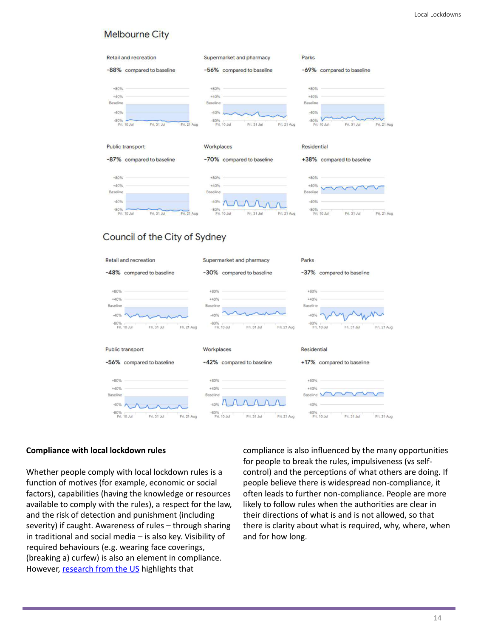## **Melbourne City**



## Council of the City of Sydney



Whether people comply with local lockdown rules is a function of motives (for example, economic or social factors), capabilities (having the knowledge or resources available to comply with the rules), a respect for the law, and the risk of detection and punishment (including severity) if caught. Awareness of rules – through sharing in traditional and social media – is also key. Visibility of required behaviours (e.g. wearing face coverings, (breaking a) curfew) is also an element in compliance. However, [research from the US](https://psyarxiv.com/qymu3/) highlights that

#### **Compliance with local lockdown rules**

compliance is also influenced by the many opportunities for people to break the rules, impulsiveness (vs selfcontrol) and the perceptions of what others are doing. If people believe there is widespread non-compliance, it often leads to further non-compliance. People are more likely to follow rules when the authorities are clear in their directions of what is and is not allowed, so that there is clarity about what is required, why, where, when and for how long.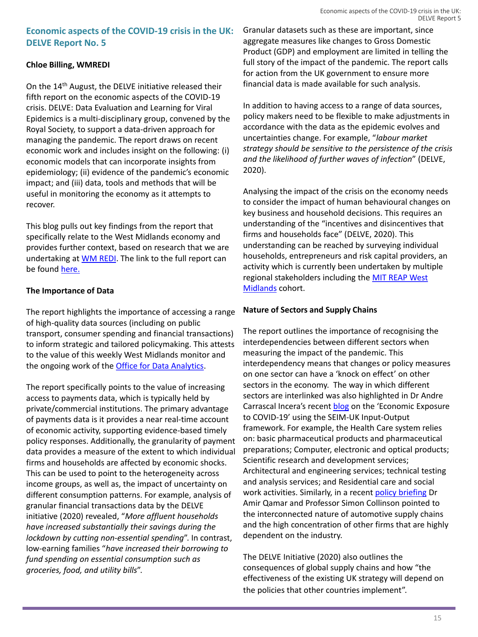## **Economic aspects of the COVID-19 crisis in the UK: DELVE Report No. 5**

## **Chloe Billing, WMREDI**

On the 14<sup>th</sup> August, the DELVE initiative released their fifth report on the economic aspects of the COVID-19 crisis. DELVE: Data Evaluation and Learning for Viral Epidemics is a multi-disciplinary group, convened by the Royal Society, to support a data-driven approach for managing the pandemic. The report draws on recent economic work and includes insight on the following: (i) economic models that can incorporate insights from epidemiology; (ii) evidence of the pandemic's economic impact; and (iii) data, tools and methods that will be useful in monitoring the economy as it attempts to recover.

This blog pulls out key findings from the report that specifically relate to the West Midlands economy and provides further context, based on research that we are undertaking at **[WM REDI](https://www.birmingham.ac.uk/research/city-redi/wm-redi/index.aspx)**. The link to the full report can be found [here.](http://rs-delve.github.io/reports/2020/08/14/economic-aspects-of-the-covid19-crisis-in-the-uk.html.)

The report highlights the importance of accessing a range of high-quality data sources (including on public transport, consumer spending and financial transactions) to inform strategic and tailored policymaking. This attests to the value of this weekly West Midlands monitor and the ongoing work of the **[Office for Data Analytics](https://www.wmca.org.uk/what-we-do/office-for-data-analytics/)**.

## **The Importance of Data**

Analysing the impact of the crisis on the economy needs to consider the impact of human behavioural changes on key business and household decisions. This requires an understanding of the "incentives and disincentives that firms and households face" (DELVE, 2020). This understanding can be reached by surveying individual households, entrepreneurs and risk capital providers, an activity which is currently been undertaken by multiple [regional stakeholders including the MIT REAP West](https://blog.bham.ac.uk/cityredi/economic-recovery-post-covid-19-the-mit-reap-programme/)  Midlands cohort.

The report specifically points to the value of increasing access to payments data, which is typically held by private/commercial institutions. The primary advantage of payments data is it provides a near real-time account of economic activity, supporting evidence-based timely policy responses. Additionally, the granularity of payment data provides a measure of the extent to which individual firms and households are affected by economic shocks. This can be used to point to the heterogeneity across income groups, as well as, the impact of uncertainty on different consumption patterns. For example, analysis of granular financial transactions data by the DELVE initiative (2020) revealed, "*More affluent households have increased substantially their savings during the lockdown by cutting non-essential spending*". In contrast, low-earning families "*have increased their borrowing to fund spending on essential consumption such as groceries, food, and utility bills*".

Granular datasets such as these are important, since aggregate measures like changes to Gross Domestic Product (GDP) and employment are limited in telling the full story of the impact of the pandemic. The report calls for action from the UK government to ensure more financial data is made available for such analysis.

In addition to having access to a range of data sources, policy makers need to be flexible to make adjustments in accordance with the data as the epidemic evolves and uncertainties change. For example, "*labour market strategy should be sensitive to the persistence of the crisis and the likelihood of further waves of infection*" (DELVE, 2020).

## **Nature of Sectors and Supply Chains**

The report outlines the importance of recognising the interdependencies between different sectors when measuring the impact of the pandemic. This interdependency means that changes or policy measures on one sector can have a 'knock on effect' on other sectors in the economy. The way in which different sectors are interlinked was also highlighted in Dr Andre Carrascal Incera's recent [blog](https://blog.bham.ac.uk/cityredi/the-economic-exposure-to-covid-19-part-iii-the-situation-in-the-west-midlands-region-the-sectoral-effects-of-a-lockdown/) on the 'Economic Exposure to COVID-19' using the SEIM-UK Input-Output framework. For example, the Health Care system relies on: basic pharmaceutical products and pharmaceutical preparations; Computer, electronic and optical products; Scientific research and development services; Architectural and engineering services; technical testing and analysis services; and Residential care and social work activities. Similarly, in a recent [policy briefing](https://blog.bham.ac.uk/cityredi/policy-briefing-the-west-midlands-automotive-industry-in-the-aftermath-of-covid-19-survival-of-the-fittest/) Dr Amir Qamar and Professor Simon Collinson pointed to the interconnected nature of automotive supply chains and the high concentration of other firms that are highly dependent on the industry.

The DELVE Initiative (2020) also outlines the consequences of global supply chains and how "the effectiveness of the existing UK strategy will depend on the policies that other countries implement".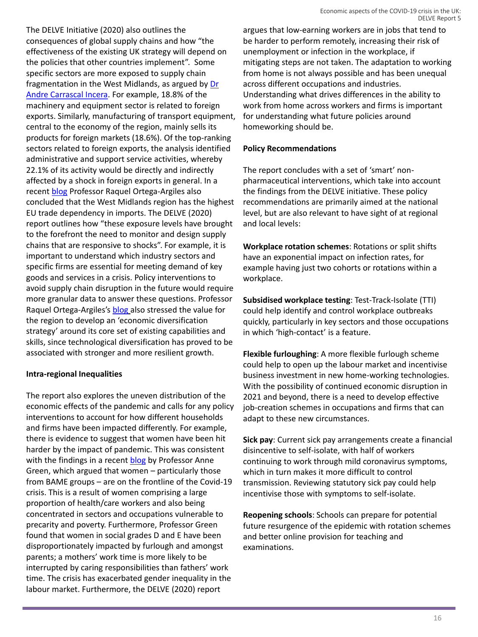specific sectors are more exposed to supply chain [fragmentation in the West Midlands, as argued by Dr](https://blog.bham.ac.uk/cityredi/economic-exposure-to-covid-19-the-situation-in-the-west-midlands-region/) Andre Carrascal Incera. For example, 18.8% of the machinery and equipment sector is related to foreign exports. Similarly, manufacturing of transport equipment, central to the economy of the region, mainly sells its products for foreign markets (18.6%). Of the top-ranking sectors related to foreign exports, the analysis identified administrative and support service activities, whereby 22.1% of its activity would be directly and indirectly affected by a shock in foreign exports in general. In a recent [blog](https://blog.bham.ac.uk/cityredi/covid-19-diversification-measures-what-local-and-regional-governments-can-do/) Professor Raquel Ortega-Argiles also concluded that the West Midlands region has the highest EU trade dependency in imports. The DELVE (2020) report outlines how "these exposure levels have brought to the forefront the need to monitor and design supply chains that are responsive to shocks". For example, it is important to understand which industry sectors and specific firms are essential for meeting demand of key goods and services in a crisis. Policy interventions to avoid supply chain disruption in the future would require more granular data to answer these questions. Professor Raquel Ortega-Argiles's **[blog](https://blog.bham.ac.uk/cityredi/covid-19-diversification-measures-what-local-and-regional-governments-can-do/)** also stressed the value for the region to develop an 'economic diversification strategy' around its core set of existing capabilities and skills, since technological diversification has proved to be associated with stronger and more resilient growth.

The DELVE Initiative (2020) also outlines the consequences of global supply chains and how "the effectiveness of the existing UK strategy will depend on the policies that other countries implement". Some argues that low-earning workers are in jobs that tend to be harder to perform remotely, increasing their risk of unemployment or infection in the workplace, if mitigating steps are not taken. The adaptation to working from home is not always possible and has been unequal across different occupations and industries. Understanding what drives differences in the ability to work from home across workers and firms is important

#### **Intra-regional Inequalities**

The report also explores the uneven distribution of the economic effects of the pandemic and calls for any policy interventions to account for how different households and firms have been impacted differently. For example, there is evidence to suggest that women have been hit harder by the impact of pandemic. This was consistent with the findings in a recent [blog](https://blog.bham.ac.uk/cityredi/wp-content/uploads/sites/15/2020/07/Weekly-Monitor-issue-19_c.pdf) by Professor Anne Green, which argued that women – particularly those from BAME groups – are on the frontline of the Covid-19 crisis. This is a result of women comprising a large proportion of health/care workers and also being concentrated in sectors and occupations vulnerable to precarity and poverty. Furthermore, Professor Green found that women in social grades D and E have been disproportionately impacted by furlough and amongst parents; a mothers' work time is more likely to be interrupted by caring responsibilities than fathers' work time. The crisis has exacerbated gender inequality in the labour market. Furthermore, the DELVE (2020) report

for understanding what future policies around

homeworking should be.

**Policy Recommendations**

The report concludes with a set of 'smart' nonpharmaceutical interventions, which take into account the findings from the DELVE initiative. These policy recommendations are primarily aimed at the national level, but are also relevant to have sight of at regional and local levels:

**Workplace rotation schemes**: Rotations or split shifts have an exponential impact on infection rates, for example having just two cohorts or rotations within a workplace.

**Subsidised workplace testing**: Test-Track-Isolate (TTI) could help identify and control workplace outbreaks quickly, particularly in key sectors and those occupations in which 'high-contact' is a feature.

**Flexible furloughing**: A more flexible furlough scheme could help to open up the labour market and incentivise business investment in new home-working technologies. With the possibility of continued economic disruption in 2021 and beyond, there is a need to develop effective job-creation schemes in occupations and firms that can adapt to these new circumstances.

**Sick pay**: Current sick pay arrangements create a financial disincentive to self-isolate, with half of workers continuing to work through mild coronavirus symptoms, which in turn makes it more difficult to control transmission. Reviewing statutory sick pay could help incentivise those with symptoms to self-isolate.

**Reopening schools**: Schools can prepare for potential future resurgence of the epidemic with rotation schemes and better online provision for teaching and examinations.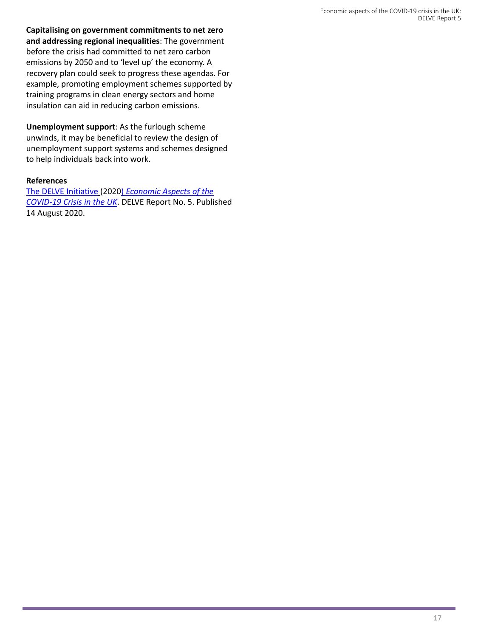**Capitalising on government commitments to net zero and addressing regional inequalities**: The government before the crisis had committed to net zero carbon emissions by 2050 and to 'level up' the economy. A recovery plan could seek to progress these agendas. For example, promoting employment schemes supported by training programs in clean energy sectors and home insulation can aid in reducing carbon emissions.

**Unemployment support**: As the furlough scheme unwinds, it may be beneficial to review the design of unemployment support systems and schemes designed to help individuals back into work.

#### **References**

[The DELVE Initiative](http://rs-delve.github.io/people.html) (2020) *Economic Aspects of the COVID-19 Crisis in the UK*[. DELVE Report No. 5. Publi](http://rs-delve.github.io/reports/2020/08/14/economic-aspects-of-the-covid19-crisis-in-the-uk.html.)shed 14 August 2020.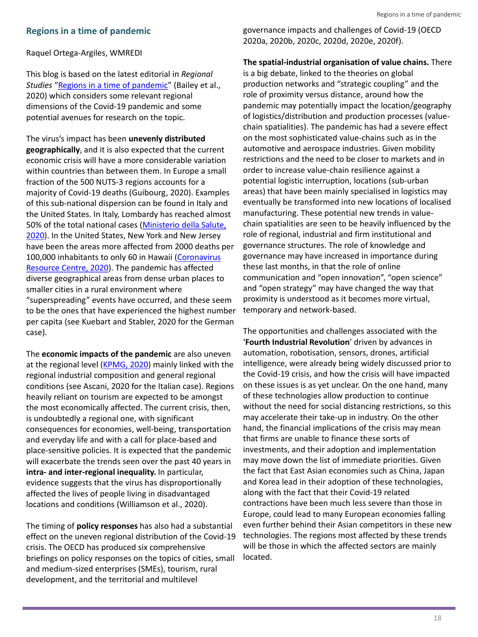#### **Regions in a time of pandemic**

Raquel Ortega-Argiles, WMREDI

This blog is based on the latest editorial in *Regional Studies* "[Regions in a time of pandemic](https://www.tandfonline.com/doi/pdf/10.1080/00343404.2020.1798611?needAccess=true)" (Bailey et al., 2020) which considers some relevant regional dimensions of the Covid-19 pandemic and some potential avenues for research on the topic.

The virus's impact has been **unevenly distributed geographically**, and it is also expected that the current economic crisis will have a more considerable variation within countries than between them. In Europe a small fraction of the 500 NUTS-3 regions accounts for a majority of Covid-19 deaths (Guibourg, 2020). Examples of this sub-national dispersion can be found in Italy and the United States. In Italy, Lombardy has reached almost 50% of the total national cases (Ministerio della Salute, [2020\). In the United States, New York and New Jersey](http://www.salute.gov.it/portale/%20nuovocoronavirus)  have been the areas more affected from 2000 deaths per 100,000 inhabitants to only 60 in Hawaii (Coronavirus Resource Centre, 2020). The pandemic has affected diverse geographical areas from dense urban places to smaller cities in a rural environment where "superspreading" events have occurred, and these seem to be the ones that have experienced the highest number per capita (see Kuebart and Stabler, 2020 for the German case).

The **economic impacts of the pandemic** are also uneven at the regional level [\(KPMG, 2020\)](https://home.kpmg/uk/en/home/%20insights/2020/05/chief-economist-note-new.html) mainly linked with the regional industrial composition and general regional conditions (see Ascani, 2020 for the Italian case). Regions heavily reliant on tourism are expected to be amongst the most economically affected. The current crisis, then, is undoubtedly a regional one, with significant consequences for economies, well-being, transportation and everyday life and with a call for place-based and place-sensitive policies. It is expected that the pandemic will exacerbate the trends seen over the past 40 years in **intra- and inter-regional inequality.** In particular, evidence suggests that the virus has disproportionally affected the lives of people living in disadvantaged locations and conditions (Williamson et al., 2020).

The timing of **policy responses** has also had a substantial effect on the uneven regional distribution of the Covid-19 crisis. The OECD has produced six comprehensive briefings on policy responses on the topics of cities, small and medium-sized enterprises (SMEs), tourism, rural development, and the territorial and multilevel

governance impacts and challenges of Covid-19 (OECD 2020a, 2020b, 2020c, 2020d, 2020e, 2020f).

#### **The spatial-industrial organisation of value chains.** There

is a big debate, linked to the theories on global production networks and "strategic coupling" and the role of proximity versus distance, around how the pandemic may potentially impact the location/geography of logistics/distribution and production processes (valuechain spatialities). The pandemic has had a severe effect on the most sophisticated value-chains such as in the automotive and aerospace industries. Given mobility restrictions and the need to be closer to markets and in order to increase value-chain resilience against a potential logistic interruption, locations (sub-urban areas) that have been mainly specialised in logistics may eventually be transformed into new locations of localised manufacturing. These potential new trends in valuechain spatialities are seen to be heavily influenced by the role of regional, industrial and firm institutional and governance structures. The role of knowledge and governance may have increased in importance during these last months, in that the role of online communication and "open innovation", "open science" and "open strategy" may have changed the way that proximity is understood as it becomes more virtual, temporary and network-based.

The opportunities and challenges associated with the '**Fourth Industrial Revolution**' driven by advances in automation, robotisation, sensors, drones, artificial intelligence, were already being widely discussed prior to the Covid-19 crisis, and how the crisis will have impacted on these issues is as yet unclear. On the one hand, many of these technologies allow production to continue without the need for social distancing restrictions, so this may accelerate their take-up in industry. On the other hand, the financial implications of the crisis may mean that firms are unable to finance these sorts of investments, and their adoption and implementation may move down the list of immediate priorities. Given the fact that East Asian economies such as China, Japan and Korea lead in their adoption of these technologies, along with the fact that their Covid-19 related contractions have been much less severe than those in Europe, could lead to many European economies falling even further behind their Asian competitors in these new technologies. The regions most affected by these trends will be those in which the affected sectors are mainly located.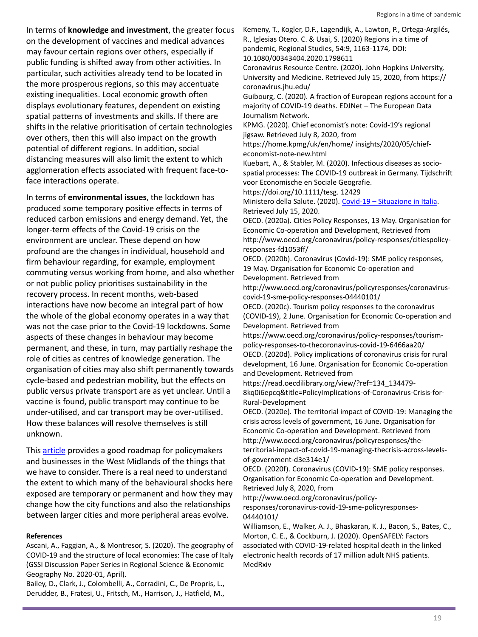In terms of **knowledge and investment**, the greater focus on the development of vaccines and medical advances may favour certain regions over others, especially if public funding is shifted away from other activities. In particular, such activities already tend to be located in the more prosperous regions, so this may accentuate existing inequalities. Local economic growth often displays evolutionary features, dependent on existing spatial patterns of investments and skills. If there are shifts in the relative prioritisation of certain technologies over others, then this will also impact on the growth potential of different regions. In addition, social distancing measures will also limit the extent to which agglomeration effects associated with frequent face-toface interactions operate.

In terms of **environmental issues**, the lockdown has produced some temporary positive effects in terms of reduced carbon emissions and energy demand. Yet, the longer-term effects of the Covid-19 crisis on the environment are unclear. These depend on how profound are the changes in individual, household and firm behaviour regarding, for example, employment commuting versus working from home, and also whether or not public policy prioritises sustainability in the recovery process. In recent months, web-based interactions have now become an integral part of how the whole of the global economy operates in a way that was not the case prior to the Covid-19 lockdowns. Some aspects of these changes in behaviour may become permanent, and these, in turn, may partially reshape the role of cities as centres of knowledge generation. The organisation of cities may also shift permanently towards cycle-based and pedestrian mobility, but the effects on public versus private transport are as yet unclear. Until a vaccine is found, public transport may continue to be under-utilised, and car transport may be over-utilised. How these balances will resolve themselves is still unknown.

This [article](https://www.tandfonline.com/doi/pdf/10.1080/00343404.2020.1798611?needAccess=true) provides a good roadmap for policymakers and businesses in the West Midlands of the things that we have to consider. There is a real need to understand the extent to which many of the behavioural shocks here exposed are temporary or permanent and how they may change how the city functions and also the relationships between larger cities and more peripheral areas evolve.

#### **References**

Ascani, A., Faggian, A., & Montresor, S. (2020). The geography of COVID-19 and the structure of local economies: The case of Italy (GSSI Discussion Paper Series in Regional Science & Economic Geography No. 2020-01, April). Bailey, D., Clark, J., Colombelli, A., Corradini, C., De Propris, L.,

Derudder, B., Fratesi, U., Fritsch, M., Harrison, J., Hatfield, M.,

Kemeny, T., Kogler, D.F., Lagendijk, A., Lawton, P., Ortega-Argilés, R., Iglesias Otero. C. & Usai, S. (2020) Regions in a time of pandemic, Regional Studies, 54:9, 1163-1174, DOI: 10.1080/00343404.2020.1798611 Coronavirus Resource Centre. (2020). John Hopkins University, University and Medicine. Retrieved July 15, 2020, from https:// coronavirus.jhu.edu/ Guibourg, C. (2020). A fraction of European regions account for a majority of COVID-19 deaths. EDJNet – The European Data Journalism Network. KPMG. (2020). Chief economist's note: Covid-19's regional jigsaw. Retrieved July 8, 2020, from https://home.kpmg/uk/en/home/ insights/2020/05/chiefeconomist-note-new.html Kuebart, A., & Stabler, M. (2020). Infectious diseases as sociospatial processes: The COVID-19 outbreak in Germany. Tijdschrift voor Economische en Sociale Geografie. https://doi.org/10.1111/tesg. 12429 Ministero della Salute. (2020). Covid-19 – [Situazione](http://www.salute.gov.it/portale/%20nuovocoronavirus) in Italia. Retrieved July 15, 2020. OECD. (2020a). Cities Policy Responses, 13 May. Organisation for Economic Co-operation and Development, Retrieved from http://www.oecd.org/coronavirus/policy-responses/citiespolicyresponses-fd1053ff/ OECD. (2020b). Coronavirus (Covid-19): SME policy responses, 19 May. Organisation for Economic Co-operation and Development. Retrieved from http://www.oecd.org/coronavirus/policyresponses/coronaviruscovid-19-sme-policy-responses-04440101/ OECD. (2020c). Tourism policy responses to the coronavirus (COVID-19), 2 June. Organisation for Economic Co-operation and Development. Retrieved from https://www.oecd.org/coronavirus/policy-responses/tourismpolicy-responses-to-thecoronavirus-covid-19-6466aa20/ OECD. (2020d). Policy implications of coronavirus crisis for rural development, 16 June. Organisation for Economic Co-operation and Development. Retrieved from https://read.oecdilibrary.org/view/?ref=134\_134479- 8kq0i6epcq&title=PolicyImplications-of-Coronavirus-Crisis-for-Rural-Development OECD. (2020e). The territorial impact of COVID-19: Managing the

crisis across levels of government, 16 June. Organisation for Economic Co-operation and Development. Retrieved from http://www.oecd.org/coronavirus/policyresponses/theterritorial-impact-of-covid-19-managing-thecrisis-across-levelsof-government-d3e314e1/ OECD. (2020f). Coronavirus (COVID-19): SME policy responses. Organisation for Economic Co-operation and Development. Retrieved July 8, 2020, from http://www.oecd.org/coronavirus/policyresponses/coronavirus-covid-19-sme-policyresponses-04440101/ Williamson, E., Walker, A. J., Bhaskaran, K. J., Bacon, S., Bates, C., Morton, C. E., & Cockburn, J. (2020). OpenSAFELY: Factors associated with COVID-19-related hospital death in the linked electronic health records of 17 million adult NHS patients. MedRxiv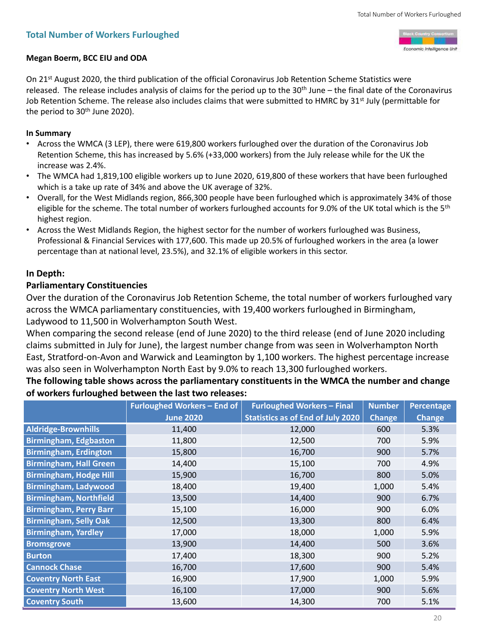## **Total Number of Workers Furloughed**



#### **Megan Boerm, BCC EIU and ODA**

On 21<sup>st</sup> August 2020, the third publication of the official Coronavirus Job Retention Scheme Statistics were released. The release includes analysis of claims for the period up to the 30<sup>th</sup> June – the final date of the Coronavirus Job Retention Scheme. The release also includes claims that were submitted to HMRC by 31<sup>st</sup> July (permittable for the period to 30<sup>th</sup> June 2020).

#### **In Summary**

- Across the WMCA (3 LEP), there were 619,800 workers furloughed over the duration of the Coronavirus Job Retention Scheme, this has increased by 5.6% (+33,000 workers) from the July release while for the UK the increase was 2.4%.
- The WMCA had 1,819,100 eligible workers up to June 2020, 619,800 of these workers that have been furloughed which is a take up rate of 34% and above the UK average of 32%.
- Overall, for the West Midlands region, 866,300 people have been furloughed which is approximately 34% of those eligible for the scheme. The total number of workers furloughed accounts for 9.0% of the UK total which is the 5<sup>th</sup> highest region.
- Across the West Midlands Region, the highest sector for the number of workers furloughed was Business, Professional & Financial Services with 177,600. This made up 20.5% of furloughed workers in the area (a lower percentage than at national level, 23.5%), and 32.1% of eligible workers in this sector.

## **In Depth:**

## **Parliamentary Constituencies**

Over the duration of the Coronavirus Job Retention Scheme, the total number of workers furloughed vary across the WMCA parliamentary constituencies, with 19,400 workers furloughed in Birmingham, Ladywood to 11,500 in Wolverhampton South West.

When comparing the second release (end of June 2020) to the third release (end of June 2020 including claims submitted in July for June), the largest number change from was seen in Wolverhampton North East, Stratford-on-Avon and Warwick and Leamington by 1,100 workers. The highest percentage increase was also seen in Wolverhampton North East by 9.0% to reach 13,300 furloughed workers.

**The following table shows across the parliamentary constituents in the WMCA the number and change of workers furloughed between the last two releases:** 

|                               | <b>Furloughed Workers - End of</b> | <b>Furloughed Workers - Final</b>        | <b>Number</b> | <b>Percentage</b> |
|-------------------------------|------------------------------------|------------------------------------------|---------------|-------------------|
|                               | <b>June 2020</b>                   | <b>Statistics as of End of July 2020</b> | <b>Change</b> | <b>Change</b>     |
| <b>Aldridge-Brownhills</b>    | 11,400                             | 12,000                                   | 600           | 5.3%              |
| <b>Birmingham, Edgbaston</b>  | 11,800                             | 12,500                                   | 700           | 5.9%              |
| <b>Birmingham, Erdington</b>  | 15,800                             | 16,700                                   | 900           | 5.7%              |
| <b>Birmingham, Hall Green</b> | 14,400                             | 15,100                                   | 700           | 4.9%              |
| <b>Birmingham, Hodge Hill</b> | 15,900                             | 16,700                                   | 800           | 5.0%              |
| <b>Birmingham, Ladywood</b>   | 18,400                             | 19,400                                   | 1,000         | 5.4%              |
| <b>Birmingham, Northfield</b> | 13,500                             | 14,400                                   | 900           | 6.7%              |
| <b>Birmingham, Perry Barr</b> | 15,100                             | 16,000                                   | 900           | 6.0%              |
| <b>Birmingham, Selly Oak</b>  | 12,500                             | 13,300                                   | 800           | 6.4%              |
| <b>Birmingham, Yardley</b>    | 17,000                             | 18,000                                   | 1,000         | 5.9%              |
| <b>Bromsgrove</b>             | 13,900                             | 14,400                                   | 500           | 3.6%              |
| <b>Burton</b>                 | 17,400                             | 18,300                                   | 900           | 5.2%              |
| <b>Cannock Chase</b>          | 16,700                             | 17,600                                   | 900           | 5.4%              |
| <b>Coventry North East</b>    | 16,900                             | 17,900                                   | 1,000         | 5.9%              |
| <b>Coventry North West</b>    | 16,100                             | 17,000                                   | 900           | 5.6%              |
| <b>Coventry South</b>         | 13,600                             | 14,300                                   | 700           | 5.1%              |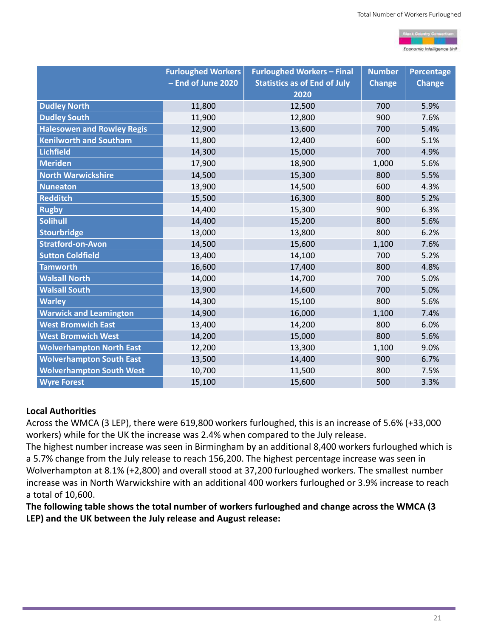

## **Local Authorities**

Across the WMCA (3 LEP), there were 619,800 workers furloughed, this is an increase of 5.6% (+33,000 workers) while for the UK the increase was 2.4% when compared to the July release.

The highest number increase was seen in Birmingham by an additional 8,400 workers furloughed which is a 5.7% change from the July release to reach 156,200. The highest percentage increase was seen in Wolverhampton at 8.1% (+2,800) and overall stood at 37,200 furloughed workers. The smallest number increase was in North Warwickshire with an additional 400 workers furloughed or 3.9% increase to reach a total of 10,600.

**The following table shows the total number of workers furloughed and change across the WMCA (3 LEP) and the UK between the July release and August release:**

|                                   | <b>Furloughed Workers</b> | <b>Furloughed Workers - Final</b>   | <b>Number</b> | <b>Percentage</b> |
|-----------------------------------|---------------------------|-------------------------------------|---------------|-------------------|
|                                   | - End of June 2020        | <b>Statistics as of End of July</b> | <b>Change</b> | <b>Change</b>     |
|                                   |                           | 2020                                |               |                   |
| <b>Dudley North</b>               | 11,800                    | 12,500                              | 700           | 5.9%              |
| <b>Dudley South</b>               | 11,900                    | 12,800                              | 900           | 7.6%              |
| <b>Halesowen and Rowley Regis</b> | 12,900                    | 13,600                              | 700           | 5.4%              |
| <b>Kenilworth and Southam</b>     | 11,800                    | 12,400                              | 600           | 5.1%              |
| <b>Lichfield</b>                  | 14,300                    | 15,000                              | 700           | 4.9%              |
| <b>Meriden</b>                    | 17,900                    | 18,900                              | 1,000         | 5.6%              |
| <b>North Warwickshire</b>         | 14,500                    | 15,300                              | 800           | 5.5%              |
| <b>Nuneaton</b>                   | 13,900                    | 14,500                              | 600           | 4.3%              |
| Redditch                          | 15,500                    | 16,300                              | 800           | 5.2%              |
| <b>Rugby</b>                      | 14,400                    | 15,300                              | 900           | 6.3%              |
| <b>Solihull</b>                   | 14,400                    | 15,200                              | 800           | 5.6%              |
| <b>Stourbridge</b>                | 13,000                    | 13,800                              | 800           | 6.2%              |
| <b>Stratford-on-Avon</b>          | 14,500                    | 15,600                              | 1,100         | 7.6%              |
| <b>Sutton Coldfield</b>           | 13,400                    | 14,100                              | 700           | 5.2%              |
| <b>Tamworth</b>                   | 16,600                    | 17,400                              | 800           | 4.8%              |
| <b>Walsall North</b>              | 14,000                    | 14,700                              | 700           | 5.0%              |
| <b>Walsall South</b>              | 13,900                    | 14,600                              | 700           | 5.0%              |
| <b>Warley</b>                     | 14,300                    | 15,100                              | 800           | 5.6%              |
| <b>Warwick and Leamington</b>     | 14,900                    | 16,000                              | 1,100         | 7.4%              |
| <b>West Bromwich East</b>         | 13,400                    | 14,200                              | 800           | 6.0%              |
| <b>West Bromwich West</b>         | 14,200                    | 15,000                              | 800           | 5.6%              |
| <b>Wolverhampton North East</b>   | 12,200                    | 13,300                              | 1,100         | 9.0%              |
| <b>Wolverhampton South East</b>   | 13,500                    | 14,400                              | 900           | 6.7%              |
| <b>Wolverhampton South West</b>   | 10,700                    | 11,500                              | 800           | 7.5%              |
| <b>Wyre Forest</b>                | 15,100                    | 15,600                              | 500           | 3.3%              |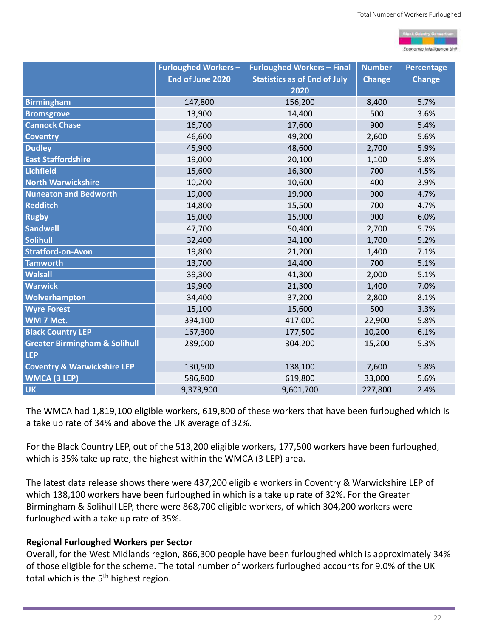

The WMCA had 1,819,100 eligible workers, 619,800 of these workers that have been furloughed which is a take up rate of 34% and above the UK average of 32%.

For the Black Country LEP, out of the 513,200 eligible workers, 177,500 workers have been furloughed,

which is 35% take up rate, the highest within the WMCA (3 LEP) area.

Overall, for the West Midlands region, 866,300 people have been furloughed which is approximately 34% of those eligible for the scheme. The total number of workers furloughed accounts for 9.0% of the UK total which is the  $5<sup>th</sup>$  highest region.

The latest data release shows there were 437,200 eligible workers in Coventry & Warwickshire LEP of which 138,100 workers have been furloughed in which is a take up rate of 32%. For the Greater Birmingham & Solihull LEP, there were 868,700 eligible workers, of which 304,200 workers were furloughed with a take up rate of 35%.

## **Regional Furloughed Workers per Sector**

|                                          | <b>Furloughed Workers -</b> | <b>Furloughed Workers - Final</b>   | <b>Number</b> | <b>Percentage</b> |
|------------------------------------------|-----------------------------|-------------------------------------|---------------|-------------------|
|                                          | End of June 2020            | <b>Statistics as of End of July</b> | <b>Change</b> | <b>Change</b>     |
|                                          |                             | 2020                                |               |                   |
| <b>Birmingham</b>                        | 147,800                     | 156,200                             | 8,400         | 5.7%              |
| <b>Bromsgrove</b>                        | 13,900                      | 14,400                              | 500           | 3.6%              |
| <b>Cannock Chase</b>                     | 16,700                      | 17,600                              | 900           | 5.4%              |
| <b>Coventry</b>                          | 46,600                      | 49,200                              | 2,600         | 5.6%              |
| <b>Dudley</b>                            | 45,900                      | 48,600                              | 2,700         | 5.9%              |
| <b>East Staffordshire</b>                | 19,000                      | 20,100                              | 1,100         | 5.8%              |
| Lichfield                                | 15,600                      | 16,300                              | 700           | 4.5%              |
| <b>North Warwickshire</b>                | 10,200                      | 10,600                              | 400           | 3.9%              |
| <b>Nuneaton and Bedworth</b>             | 19,000                      | 19,900                              | 900           | 4.7%              |
| Redditch                                 | 14,800                      | 15,500                              | 700           | 4.7%              |
| <b>Rugby</b>                             | 15,000                      | 15,900                              | 900           | 6.0%              |
| <b>Sandwell</b>                          | 47,700                      | 50,400                              | 2,700         | 5.7%              |
| <b>Solihull</b>                          | 32,400                      | 34,100                              | 1,700         | 5.2%              |
| <b>Stratford-on-Avon</b>                 | 19,800                      | 21,200                              | 1,400         | 7.1%              |
| <b>Tamworth</b>                          | 13,700                      | 14,400                              | 700           | 5.1%              |
| <b>Walsall</b>                           | 39,300                      | 41,300                              | 2,000         | 5.1%              |
| <b>Warwick</b>                           | 19,900                      | 21,300                              | 1,400         | 7.0%              |
| Wolverhampton                            | 34,400                      | 37,200                              | 2,800         | 8.1%              |
| <b>Wyre Forest</b>                       | 15,100                      | 15,600                              | 500           | 3.3%              |
| WM 7 Met.                                | 394,100                     | 417,000                             | 22,900        | 5.8%              |
| <b>Black Country LEP</b>                 | 167,300                     | 177,500                             | 10,200        | 6.1%              |
| <b>Greater Birmingham &amp; Solihull</b> | 289,000                     | 304,200                             | 15,200        | 5.3%              |
| <b>LEP</b>                               |                             |                                     |               |                   |
| <b>Coventry &amp; Warwickshire LEP</b>   | 130,500                     | 138,100                             | 7,600         | 5.8%              |
| <b>WMCA (3 LEP)</b>                      | 586,800                     | 619,800                             | 33,000        | 5.6%              |
| <b>UK</b>                                | 9,373,900                   | 9,601,700                           | 227,800       | 2.4%              |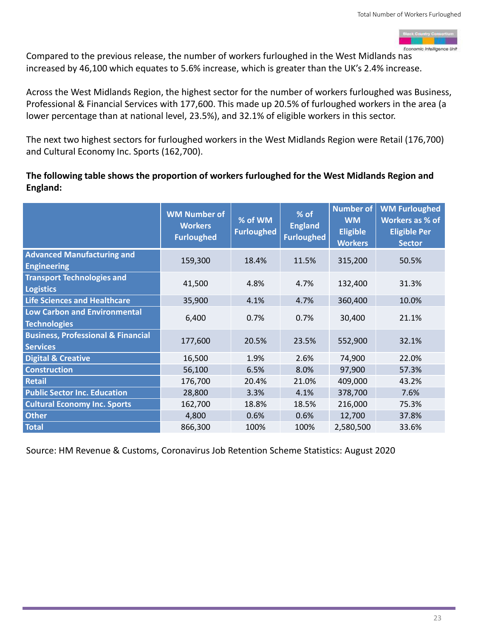

Compared to the previous release, the number of workers furloughed in the West Midlands has increased by 46,100 which equates to 5.6% increase, which is greater than the UK's 2.4% increase.

Across the West Midlands Region, the highest sector for the number of workers furloughed was Business, Professional & Financial Services with 177,600. This made up 20.5% of furloughed workers in the area (a lower percentage than at national level, 23.5%), and 32.1% of eligible workers in this sector.

The next two highest sectors for furloughed workers in the West Midlands Region were Retail (176,700) and Cultural Economy Inc. Sports (162,700).

**The following table shows the proportion of workers furloughed for the West Midlands Region and England:**

#### Source: HM Revenue & Customs, Coronavirus Job Retention Scheme Statistics: August 2020

|                                                                  | <b>WM Number of</b><br><b>Workers</b><br><b>Furloughed</b> | % of WM<br><b>Furloughed</b> | $%$ of<br><b>England</b><br><b>Furloughed</b> | <b>Number of</b><br><b>WM</b><br><b>Eligible</b><br><b>Workers</b> | <b>WM Furloughed</b><br>Workers as % of<br><b>Eligible Per</b><br><b>Sector</b> |
|------------------------------------------------------------------|------------------------------------------------------------|------------------------------|-----------------------------------------------|--------------------------------------------------------------------|---------------------------------------------------------------------------------|
| <b>Advanced Manufacturing and</b><br><b>Engineering</b>          | 159,300                                                    | 18.4%                        | 11.5%                                         | 315,200                                                            | 50.5%                                                                           |
| <b>Transport Technologies and</b><br><b>Logistics</b>            | 41,500                                                     | 4.8%                         | 4.7%                                          | 132,400                                                            | 31.3%                                                                           |
| <b>Life Sciences and Healthcare</b>                              | 35,900                                                     | 4.1%                         | 4.7%                                          | 360,400                                                            | 10.0%                                                                           |
| <b>Low Carbon and Environmental</b><br><b>Technologies</b>       | 6,400                                                      | 0.7%                         | 0.7%                                          | 30,400                                                             | 21.1%                                                                           |
| <b>Business, Professional &amp; Financial</b><br><b>Services</b> | 177,600                                                    | 20.5%                        | 23.5%                                         | 552,900                                                            | 32.1%                                                                           |
| <b>Digital &amp; Creative</b>                                    | 16,500                                                     | 1.9%                         | 2.6%                                          | 74,900                                                             | 22.0%                                                                           |
| <b>Construction</b>                                              | 56,100                                                     | 6.5%                         | 8.0%                                          | 97,900                                                             | 57.3%                                                                           |
| <b>Retail</b>                                                    | 176,700                                                    | 20.4%                        | 21.0%                                         | 409,000                                                            | 43.2%                                                                           |
| <b>Public Sector Inc. Education</b>                              | 28,800                                                     | 3.3%                         | 4.1%                                          | 378,700                                                            | 7.6%                                                                            |
| <b>Cultural Economy Inc. Sports</b>                              | 162,700                                                    | 18.8%                        | 18.5%                                         | 216,000                                                            | 75.3%                                                                           |
| <b>Other</b>                                                     | 4,800                                                      | 0.6%                         | 0.6%                                          | 12,700                                                             | 37.8%                                                                           |
| <b>Total</b>                                                     | 866,300                                                    | 100%                         | 100%                                          | 2,580,500                                                          | 33.6%                                                                           |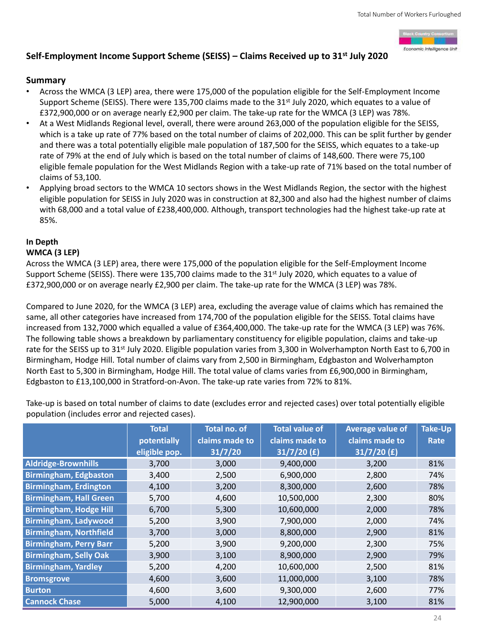

# **Self-Employment Income Support Scheme (SEISS) – Claims Received up to 31st July 2020**

## **Summary**

- Across the WMCA (3 LEP) area, there were 175,000 of the population eligible for the Self-Employment Income Support Scheme (SEISS). There were 135,700 claims made to the 31<sup>st</sup> July 2020, which equates to a value of £372,900,000 or on average nearly £2,900 per claim. The take-up rate for the WMCA (3 LEP) was 78%.
- At a West Midlands Regional level, overall, there were around 263,000 of the population eligible for the SEISS, which is a take up rate of 77% based on the total number of claims of 202,000. This can be split further by gender and there was a total potentially eligible male population of 187,500 for the SEISS, which equates to a take-up rate of 79% at the end of July which is based on the total number of claims of 148,600. There were 75,100 eligible female population for the West Midlands Region with a take-up rate of 71% based on the total number of claims of 53,100.
- Applying broad sectors to the WMCA 10 sectors shows in the West Midlands Region, the sector with the highest eligible population for SEISS in July 2020 was in construction at 82,300 and also had the highest number of claims with 68,000 and a total value of £238,400,000. Although, transport technologies had the highest take-up rate at 85%.

## **In Depth**

## **WMCA (3 LEP)**

Across the WMCA (3 LEP) area, there were 175,000 of the population eligible for the Self-Employment Income Support Scheme (SEISS). There were 135,700 claims made to the 31<sup>st</sup> July 2020, which equates to a value of £372,900,000 or on average nearly £2,900 per claim. The take-up rate for the WMCA (3 LEP) was 78%.

Compared to June 2020, for the WMCA (3 LEP) area, excluding the average value of claims which has remained the same, all other categories have increased from 174,700 of the population eligible for the SEISS. Total claims have increased from 132,7000 which equalled a value of £364,400,000. The take-up rate for the WMCA (3 LEP) was 76%. The following table shows a breakdown by parliamentary constituency for eligible population, claims and take-up rate for the SEISS up to 31<sup>st</sup> July 2020. Eligible population varies from 3,300 in Wolverhampton North East to 6,700 in Birmingham, Hodge Hill. Total number of claims vary from 2,500 in Birmingham, Edgbaston and Wolverhampton North East to 5,300 in Birmingham, Hodge Hill. The total value of clams varies from £6,900,000 in Birmingham, Edgbaston to £13,100,000 in Stratford-on-Avon. The take-up rate varies from 72% to 81%.

Take-up is based on total number of claims to date (excludes error and rejected cases) over total potentially eligible population (includes error and rejected cases).

|                               | <b>Total</b>  | <b>Total no. of</b> | <b>Total value of</b> | <b>Average value of</b> | <b>Take-Up</b> |
|-------------------------------|---------------|---------------------|-----------------------|-------------------------|----------------|
|                               | potentially   | claims made to      | claims made to        | claims made to          | Rate           |
|                               | eligible pop. | 31/7/20             | $\sqrt{31/7/20}$ (£)  | $31/7/20$ (£)           |                |
| <b>Aldridge-Brownhills</b>    | 3,700         | 3,000               | 9,400,000             | 3,200                   | 81%            |
| <b>Birmingham, Edgbaston</b>  | 3,400         | 2,500               | 6,900,000             | 2,800                   | 74%            |
| <b>Birmingham, Erdington</b>  | 4,100         | 3,200               | 8,300,000             | 2,600                   | 78%            |
| <b>Birmingham, Hall Green</b> | 5,700         | 4,600               | 10,500,000            | 2,300                   | 80%            |
| <b>Birmingham, Hodge Hill</b> | 6,700         | 5,300               | 10,600,000            | 2,000                   | 78%            |
| Birmingham, Ladywood          | 5,200         | 3,900               | 7,900,000             | 2,000                   | 74%            |
| <b>Birmingham, Northfield</b> | 3,700         | 3,000               | 8,800,000             | 2,900                   | 81%            |
| <b>Birmingham, Perry Barr</b> | 5,200         | 3,900               | 9,200,000             | 2,300                   | 75%            |
| <b>Birmingham, Selly Oak</b>  | 3,900         | 3,100               | 8,900,000             | 2,900                   | 79%            |
| <b>Birmingham, Yardley</b>    | 5,200         | 4,200               | 10,600,000            | 2,500                   | 81%            |
| <b>Bromsgrove</b>             | 4,600         | 3,600               | 11,000,000            | 3,100                   | 78%            |
| <b>Burton</b>                 | 4,600         | 3,600               | 9,300,000             | 2,600                   | 77%            |
| <b>Cannock Chase</b>          | 5,000         | 4,100               | 12,900,000            | 3,100                   | 81%            |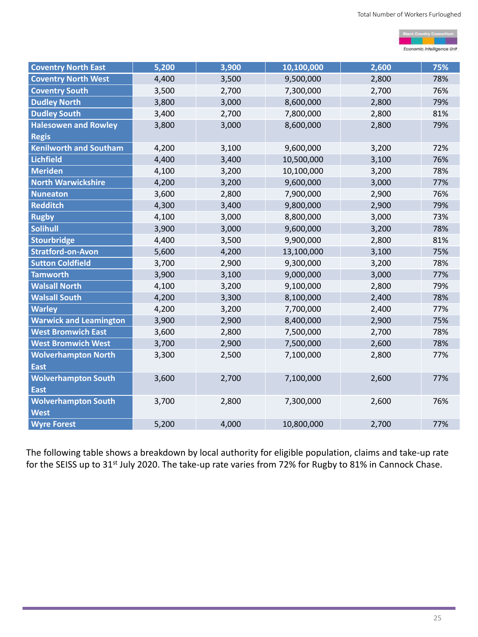The following table shows a breakdown by local authority for eligible population, claims and take-up rate for the SEISS up to 31<sup>st</sup> July 2020. The take-up rate varies from 72% for Rugby to 81% in Cannock Chase.



| <b>Coventry North East</b>    | 5,200 | 3,900 | 10,100,000 | 2,600 | 75% |
|-------------------------------|-------|-------|------------|-------|-----|
| <b>Coventry North West</b>    | 4,400 | 3,500 | 9,500,000  | 2,800 | 78% |
| <b>Coventry South</b>         | 3,500 | 2,700 | 7,300,000  | 2,700 | 76% |
| <b>Dudley North</b>           | 3,800 | 3,000 | 8,600,000  | 2,800 | 79% |
| <b>Dudley South</b>           | 3,400 | 2,700 | 7,800,000  | 2,800 | 81% |
| <b>Halesowen and Rowley</b>   | 3,800 | 3,000 | 8,600,000  | 2,800 | 79% |
| <b>Regis</b>                  |       |       |            |       |     |
| <b>Kenilworth and Southam</b> | 4,200 | 3,100 | 9,600,000  | 3,200 | 72% |
| Lichfield                     | 4,400 | 3,400 | 10,500,000 | 3,100 | 76% |
| <b>Meriden</b>                | 4,100 | 3,200 | 10,100,000 | 3,200 | 78% |
| <b>North Warwickshire</b>     | 4,200 | 3,200 | 9,600,000  | 3,000 | 77% |
| <b>Nuneaton</b>               | 3,600 | 2,800 | 7,900,000  | 2,900 | 76% |
| <b>Redditch</b>               | 4,300 | 3,400 | 9,800,000  | 2,900 | 79% |
| <b>Rugby</b>                  | 4,100 | 3,000 | 8,800,000  | 3,000 | 73% |
| <b>Solihull</b>               | 3,900 | 3,000 | 9,600,000  | 3,200 | 78% |
| Stourbridge                   | 4,400 | 3,500 | 9,900,000  | 2,800 | 81% |
| <b>Stratford-on-Avon</b>      | 5,600 | 4,200 | 13,100,000 | 3,100 | 75% |
| <b>Sutton Coldfield</b>       | 3,700 | 2,900 | 9,300,000  | 3,200 | 78% |
| <b>Tamworth</b>               | 3,900 | 3,100 | 9,000,000  | 3,000 | 77% |
| <b>Walsall North</b>          | 4,100 | 3,200 | 9,100,000  | 2,800 | 79% |
| <b>Walsall South</b>          | 4,200 | 3,300 | 8,100,000  | 2,400 | 78% |
| <b>Warley</b>                 | 4,200 | 3,200 | 7,700,000  | 2,400 | 77% |
| <b>Warwick and Leamington</b> | 3,900 | 2,900 | 8,400,000  | 2,900 | 75% |
| <b>West Bromwich East</b>     | 3,600 | 2,800 | 7,500,000  | 2,700 | 78% |
| <b>West Bromwich West</b>     | 3,700 | 2,900 | 7,500,000  | 2,600 | 78% |
| <b>Wolverhampton North</b>    | 3,300 | 2,500 | 7,100,000  | 2,800 | 77% |
| East                          |       |       |            |       |     |
| <b>Wolverhampton South</b>    | 3,600 | 2,700 | 7,100,000  | 2,600 | 77% |
| East                          |       |       |            |       |     |
| <b>Wolverhampton South</b>    | 3,700 | 2,800 | 7,300,000  | 2,600 | 76% |
| <b>West</b>                   |       |       |            |       |     |
| <b>Wyre Forest</b>            | 5,200 | 4,000 | 10,800,000 | 2,700 | 77% |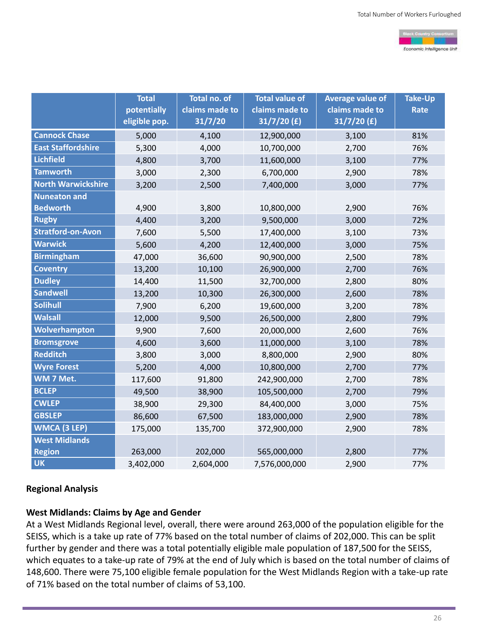

**Regional Analysis** 

## **West Midlands: Claims by Age and Gender**

At a West Midlands Regional level, overall, there were around 263,000 of the population eligible for the SEISS, which is a take up rate of 77% based on the total number of claims of 202,000. This can be split further by gender and there was a total potentially eligible male population of 187,500 for the SEISS, which equates to a take-up rate of 79% at the end of July which is based on the total number of claims of 148,600. There were 75,100 eligible female population for the West Midlands Region with a take-up rate of 71% based on the total number of claims of 53,100.

|                           | <b>Total</b><br>potentially<br>eligible pop. | Total no. of<br>claims made to<br>31/7/20 | <b>Total value of</b><br>claims made to<br>$31/7/20$ (£) | <b>Average value of</b><br>claims made to<br>$31/7/20$ (£) | <b>Take-Up</b><br>Rate |
|---------------------------|----------------------------------------------|-------------------------------------------|----------------------------------------------------------|------------------------------------------------------------|------------------------|
| <b>Cannock Chase</b>      | 5,000                                        | 4,100                                     | 12,900,000                                               | 3,100                                                      | 81%                    |
| <b>East Staffordshire</b> | 5,300                                        | 4,000                                     | 10,700,000                                               | 2,700                                                      | 76%                    |
| <b>Lichfield</b>          | 4,800                                        | 3,700                                     | 11,600,000                                               | 3,100                                                      | 77%                    |
| <b>Tamworth</b>           | 3,000                                        | 2,300                                     | 6,700,000                                                | 2,900                                                      | 78%                    |
| <b>North Warwickshire</b> | 3,200                                        | 2,500                                     | 7,400,000                                                | 3,000                                                      | 77%                    |
| Nuneaton and              |                                              |                                           |                                                          |                                                            |                        |
| <b>Bedworth</b>           | 4,900                                        | 3,800                                     | 10,800,000                                               | 2,900                                                      | 76%                    |
| <b>Rugby</b>              | 4,400                                        | 3,200                                     | 9,500,000                                                | 3,000                                                      | 72%                    |
| <b>Stratford-on-Avon</b>  | 7,600                                        | 5,500                                     | 17,400,000                                               | 3,100                                                      | 73%                    |
| <b>Warwick</b>            | 5,600                                        | 4,200                                     | 12,400,000                                               | 3,000                                                      | 75%                    |
| <b>Birmingham</b>         | 47,000                                       | 36,600                                    | 90,900,000                                               | 2,500                                                      | 78%                    |
| <b>Coventry</b>           | 13,200                                       | 10,100                                    | 26,900,000                                               | 2,700                                                      | 76%                    |
| <b>Dudley</b>             | 14,400                                       | 11,500                                    | 32,700,000                                               | 2,800                                                      | 80%                    |
| <b>Sandwell</b>           | 13,200                                       | 10,300                                    | 26,300,000                                               | 2,600                                                      | 78%                    |
| <b>Solihull</b>           | 7,900                                        | 6,200                                     | 19,600,000                                               | 3,200                                                      | 78%                    |
| <b>Walsall</b>            | 12,000                                       | 9,500                                     | 26,500,000                                               | 2,800                                                      | 79%                    |
| Wolverhampton             | 9,900                                        | 7,600                                     | 20,000,000                                               | 2,600                                                      | 76%                    |
| <b>Bromsgrove</b>         | 4,600                                        | 3,600                                     | 11,000,000                                               | 3,100                                                      | 78%                    |
| <b>Redditch</b>           | 3,800                                        | 3,000                                     | 8,800,000                                                | 2,900                                                      | 80%                    |
| <b>Wyre Forest</b>        | 5,200                                        | 4,000                                     | 10,800,000                                               | 2,700                                                      | 77%                    |
| WM 7 Met.                 | 117,600                                      | 91,800                                    | 242,900,000                                              | 2,700                                                      | 78%                    |
| <b>BCLEP</b>              | 49,500                                       | 38,900                                    | 105,500,000                                              | 2,700                                                      | 79%                    |
| <b>CWLEP</b>              | 38,900                                       | 29,300                                    | 84,400,000                                               | 3,000                                                      | 75%                    |
| <b>GBSLEP</b>             | 86,600                                       | 67,500                                    | 183,000,000                                              | 2,900                                                      | 78%                    |
| <b>WMCA (3 LEP)</b>       | 175,000                                      | 135,700                                   | 372,900,000                                              | 2,900                                                      | 78%                    |
| <b>West Midlands</b>      |                                              |                                           |                                                          |                                                            |                        |

| <b>Region</b> | 263,000   | 202,000   | 565,000,000   | 2,800 | 77% |
|---------------|-----------|-----------|---------------|-------|-----|
| <b>UK</b>     | 3,402,000 | 2,604,000 | 7,576,000,000 | 2,900 | 77% |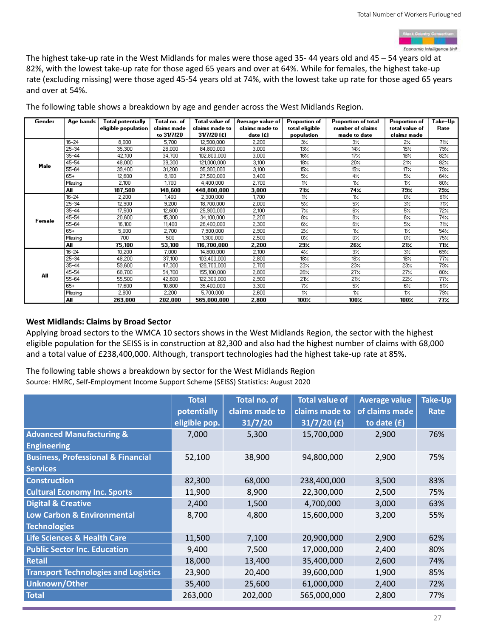

The highest take-up rate in the West Midlands for males were those aged 35- 44 years old and 45 – 54 years old at 82%, with the lowest take-up rate for those aged 65 years and over at 64%. While for females, the highest take-up rate (excluding missing) were those aged 45-54 years old at 74%, with the lowest take up rate for those aged 65 years and over at 54%.

The following table shows a breakdown by age and gender across the West Midlands Region.

| Gender | Age bands | <b>Total potentially</b> | Total no. of | Total value of | Average value of | <b>Proportion of</b> | Proportion of total | Proportion of   | Take-Up         |
|--------|-----------|--------------------------|--------------|----------------|------------------|----------------------|---------------------|-----------------|-----------------|
|        |           | eligible population      | claims made  | claims made to | claims made to   | total eligible       | number of claims    | total value of  | Rate            |
|        |           |                          | to 31/7/20   | 31/7/20 (£)    | date (£)         | population           | made to date        | claims made     |                 |
|        | $16 - 24$ | 8,000                    | 5,700        | 12,500,000     | 2,200            | 3%                   | $3\%$               | 2%              | 71/             |
|        | $25 - 34$ | 35,300                   | 28,000       | 84,800,000     | 3,000            | 13%                  | 14%                 | 15%             | $79\%$          |
|        | $35 - 44$ | 42,100                   | 34,700       | 102,800,000    | 3,000            | $16\%$               | 17 <sub>7</sub>     | $18\%$          | $82\%$          |
| Male   | $45 - 54$ | 48,000                   | 39,300       | 121,000,000    | 3,100            | $18\%$               | 20%                 | 21%             | 82%             |
|        | $55 - 64$ | 39,400                   | 31,200       | 95,900,000     | 3,100            | 15%                  | 15%                 | $17\%$          | $79\%$          |
|        | $65+$     | 12,600                   | 8,100        | 27,500,000     | 3,400            | $5\%$                | $4\%$               | $5\%$           | 64<             |
|        | Missing   | 2,100                    | 1,700        | 4,400,000      | 2,700            | 1%                   | 1%                  | 1%              | 80<             |
|        | All       | 187,500                  | 148,600      | 448,800,000    | 3,000            | 71%                  | 74%                 | 79%             | 79%             |
|        | $16 - 24$ | 2,200                    | 1,400        | 2,300,000      | 1,700            | 1%                   | 1%                  | 0%              | 61%             |
| Female | $25 - 34$ | 12,900                   | 9,200        | 18,700,000     | 2,000            | 5%                   | $5\%$               | $3\overline{Z}$ | 71%             |
|        | $35 - 44$ | 17,500                   | 12,600       | 25,900,000     | 2,100            | 7%                   | 6%                  | $5\%$           | $72\%$          |
|        | 45-54     | 20,600                   | 15,300       | 34,100,000     | 2,200            | 8%                   | 8%                  | 6%              | 74%             |
|        | $55 - 64$ | 16,100                   | 11,400       | 26,400,000     | 2,300            | 6%                   | 6%                  | 5%              | 71/             |
|        | $65+$     | 5,000                    | 2,700        | 7,900,000      | 2,900            | $2\%$                | 1/                  | 1/              | 54<             |
|        | Missing   | 700                      | 500          | 1,300,000      | 2,500            | 0%                   | 0%                  | $0\%$           | 75%             |
|        | All       | 75,100                   | 53,100       | 116,700,000    | 2,200            | 29%                  | 26%                 | 21%             | 71 <sub>7</sub> |
|        | $16 - 24$ | 10,200                   | 7,000        | 14,800,000     | 2,100            | 4%                   | 3%                  | 3%              | $69\%$          |
|        | $25 - 34$ | 48,200                   | 37,100       | 103,400,000    | 2,800            | $18\%$               | 18 <sub>7</sub>     | $18\%$          | 77%             |
|        | $35 - 44$ | 59,600                   | 47,300       | 128,700,000    | 2,700            | 23%                  | 23%                 | 23%             | 79%             |
| All    | 45-54     | 68,700                   | 54,700       | 155,100,000    | 2,800            | 26%                  | 27%                 | 27/             | 80%             |
|        | $55 - 64$ | 55,500                   | 42,600       | 122,300,000    | 2,900            | 21/                  | 21/                 | 22%             | 77%             |
|        | $65+$     | 17,600                   | 10,800       | 35,400,000     | 3,300            | 7%                   | 5%                  | 6%              | 61%             |
|        | Missing   | 2,800                    | 2,200        | 5,700,000      | 2,600            | 14                   | 1%                  | 1%              | 79%             |
|        | All       | 263,000                  | 202,000      | 565,000,000    | 2,800            | 100%                 | $100\%$             | $100\%$         | 77%             |

## **West Midlands: Claims by Broad Sector**

Applying broad sectors to the WMCA 10 sectors shows in the West Midlands Region, the sector with the highest eligible population for the SEISS is in construction at 82,300 and also had the highest number of claims with 68,000 and a total value of £238,400,000. Although, transport technologies had the highest take-up rate at 85%.

The following table shows a breakdown by sector for the West Midlands Region Source: HMRC, Self-Employment Income Support Scheme (SEISS) Statistics: August 2020

|                                               | <b>Total</b><br>potentially<br>eligible pop. | Total no. of<br>claims made to<br>31/7/20 | <b>Total value of</b><br>claims made to<br>$31/7/20$ (£) | <b>Average value</b><br>of claims made<br>to date $(f)$ | <b>Take-Up</b><br><b>Rate</b> |
|-----------------------------------------------|----------------------------------------------|-------------------------------------------|----------------------------------------------------------|---------------------------------------------------------|-------------------------------|
| <b>Advanced Manufacturing &amp;</b>           | 7,000                                        | 5,300                                     | 15,700,000                                               | 2,900                                                   | 76%                           |
| <b>Engineering</b>                            |                                              |                                           |                                                          |                                                         |                               |
| <b>Business, Professional &amp; Financial</b> | 52,100                                       | 38,900                                    | 94,800,000                                               | 2,900                                                   | 75%                           |
| <b>Services</b>                               |                                              |                                           |                                                          |                                                         |                               |
| <b>Construction</b>                           | 82,300                                       | 68,000                                    | 238,400,000                                              | 3,500                                                   | 83%                           |
| <b>Cultural Economy Inc. Sports</b>           | 11,900                                       | 8,900                                     | 22,300,000                                               | 2,500                                                   | 75%                           |
| <b>Digital &amp; Creative</b>                 | 2,400                                        | 1,500                                     | 4,700,000                                                | 3,000                                                   | 63%                           |
| <b>Low Carbon &amp; Environmental</b>         | 8,700                                        | 4,800                                     | 15,600,000                                               | 3,200                                                   | 55%                           |
| <b>Technologies</b>                           |                                              |                                           |                                                          |                                                         |                               |
| <b>Life Sciences &amp; Health Care</b>        | 11,500                                       | 7,100                                     | 20,900,000                                               | 2,900                                                   | 62%                           |
| <b>Public Sector Inc. Education</b>           | 9,400                                        | 7,500                                     | 17,000,000                                               | 2,400                                                   | 80%                           |
| <b>Retail</b>                                 | 18,000                                       | 13,400                                    | 35,400,000                                               | 2,600                                                   | 74%                           |
| <b>Transport Technologies and Logistics</b>   | 23,900                                       | 20,400                                    | 39,600,000                                               | 1,900                                                   | 85%                           |
| <b>Unknown/Other</b>                          | 35,400                                       | 25,600                                    | 61,000,000                                               | 2,400                                                   | 72%                           |
| <b>Total</b>                                  | 263,000                                      | 202,000                                   | 565,000,000                                              | 2,800                                                   | 77%                           |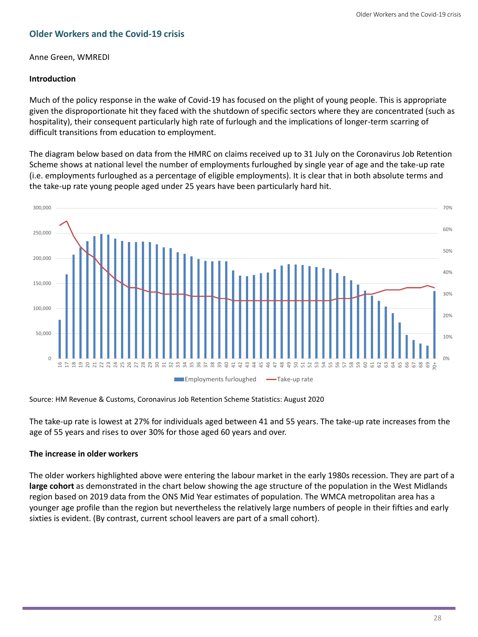## **Older Workers and the Covid-19 crisis**

Anne Green, WMREDI

#### **Introduction**

Much of the policy response in the wake of Covid-19 has focused on the plight of young people. This is appropriate given the disproportionate hit they faced with the shutdown of specific sectors where they are concentrated (such as hospitality), their consequent particularly high rate of furlough and the implications of longer-term scarring of difficult transitions from education to employment.

The diagram below based on data from the HMRC on claims received up to 31 July on the Coronavirus Job Retention Scheme shows at national level the number of employments furloughed by single year of age and the take-up rate (i.e. employments furloughed as a percentage of eligible employments). It is clear that in both absolute terms and the take-up rate young people aged under 25 years have been particularly hard hit.

Source: HM Revenue & Customs, Coronavirus Job Retention Scheme Statistics: August 2020

The take-up rate is lowest at 27% for individuals aged between 41 and 55 years. The take-up rate increases from the age of 55 years and rises to over 30% for those aged 60 years and over.

#### **The increase in older workers**

The older workers highlighted above were entering the labour market in the early 1980s recession. They are part of a **large cohort** as demonstrated in the chart below showing the age structure of the population in the West Midlands region based on 2019 data from the ONS Mid Year estimates of population. The WMCA metropolitan area has a younger age profile than the region but nevertheless the relatively large numbers of people in their fifties and early sixties is evident. (By contrast, current school leavers are part of a small cohort).

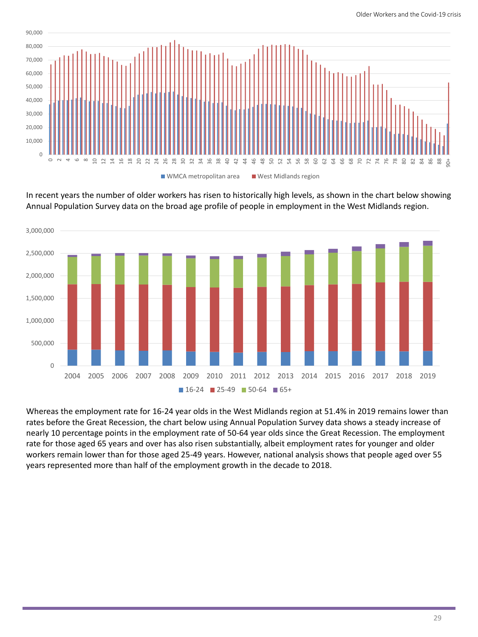In recent years the number of older workers has risen to historically high levels, as shown in the chart below showing Annual Population Survey data on the broad age profile of people in employment in the West Midlands region.

Whereas the employment rate for 16-24 year olds in the West Midlands region at 51.4% in 2019 remains lower than rates before the Great Recession, the chart below using Annual Population Survey data shows a steady increase of nearly 10 percentage points in the employment rate of 50-64 year olds since the Great Recession. The employment rate for those aged 65 years and over has also risen substantially, albeit employment rates for younger and older workers remain lower than for those aged 25-49 years. However, national analysis shows that people aged over 55 years represented more than half of the employment growth in the decade to 2018.



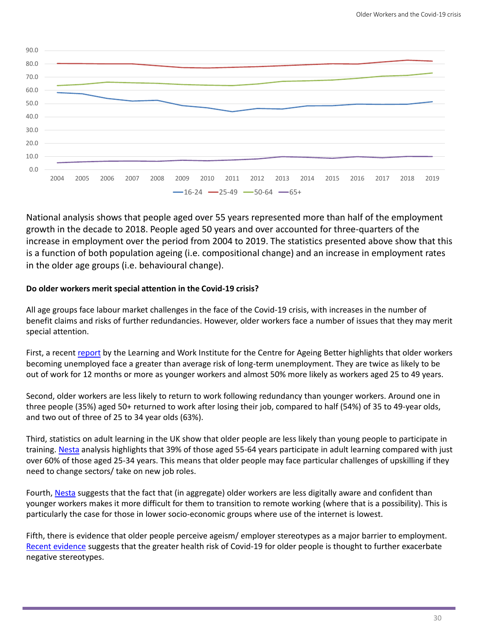National analysis shows that people aged over 55 years represented more than half of the employment growth in the decade to 2018. People aged 50 years and over accounted for three-quarters of the increase in employment over the period from 2004 to 2019. The statistics presented above show that this is a function of both population ageing (i.e. compositional change) and an increase in employment rates in the older age groups (i.e. behavioural change).

#### **Do older workers merit special attention in the Covid-19 crisis?**

First, a recent [report](https://www.ageing-better.org.uk/sites/default/files/2020-08/Tackling-worklessness-among-over-50s-after-covid-report.pdf) by the Learning and Work Institute for the Centre for Ageing Better highlights that older workers becoming unemployed face a greater than average risk of long-term unemployment. They are twice as likely to be out of work for 12 months or more as younger workers and almost 50% more likely as workers aged 25 to 49 years.

All age groups face labour market challenges in the face of the Covid-19 crisis, with increases in the number of benefit claims and risks of further redundancies. However, older workers face a number of issues that they may merit special attention.

Fourth, [Nesta](https://www.nesta.org.uk/blog/risk-older-workers-face-wake-covid-19/) suggests that the fact that (in aggregate) older workers are less digitally aware and confident than younger workers makes it more difficult for them to transition to remote working (where that is a possibility). This is particularly the case for those in lower socio-economic groups where use of the internet is lowest.

Second, older workers are less likely to return to work following redundancy than younger workers. Around one in three people (35%) aged 50+ returned to work after losing their job, compared to half (54%) of 35 to 49-year olds, and two out of three of 25 to 34 year olds (63%).

Third, statistics on adult learning in the UK show that older people are less likely than young people to participate in training. [Nesta](https://www.nesta.org.uk/blog/risk-older-workers-face-wake-covid-19/) analysis highlights that 39% of those aged 55-64 years participate in adult learning compared with just over 60% of those aged 25-34 years. This means that older people may face particular challenges of upskilling if they need to change sectors/ take on new job roles.

Fifth, there is evidence that older people perceive ageism/ employer stereotypes as a major barrier to employment. [Recent evidence](https://www.ageing-better.org.uk/sites/default/files/2019-06/Employment-support-over-50s.pdf) suggests that the greater health risk of Covid-19 for older people is thought to further exacerbate negative stereotypes.

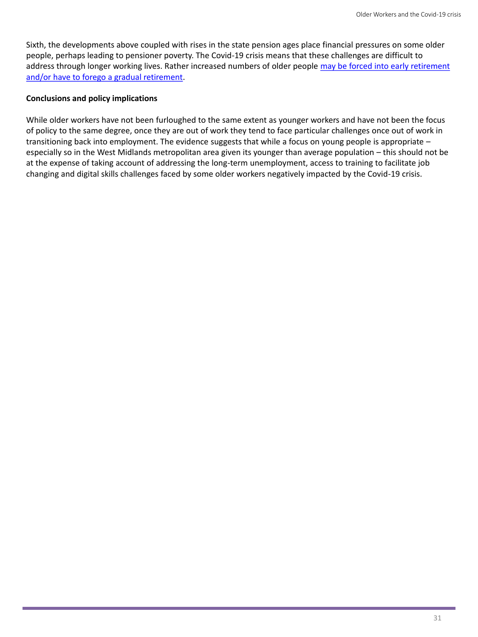Sixth, the developments above coupled with rises in the state pension ages place financial pressures on some older people, perhaps leading to pensioner poverty. The Covid-19 crisis means that these challenges are difficult to address through longer working lives. Rather increased numbers of older people may be forced into early retirement and/or have to forego a gradual retirement.

## **Conclusions and policy implications**

While older workers have not been furloughed to the same extent as younger workers and have not been the focus of policy to the same degree, once they are out of work they tend to face particular challenges once out of work in transitioning back into employment. The evidence suggests that while a focus on young people is appropriate – especially so in the West Midlands metropolitan area given its younger than average population – this should not be at the expense of taking account of addressing the long-term unemployment, access to training to facilitate job changing and digital skills challenges faced by some older workers negatively impacted by the Covid-19 crisis.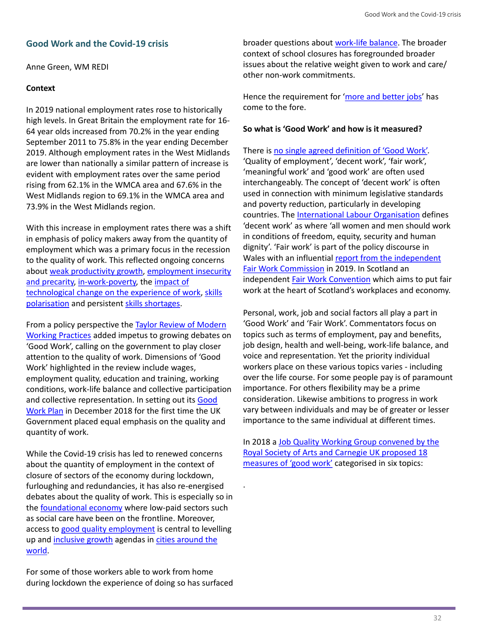## **Good Work and the Covid-19 crisis**

Anne Green, WM REDI

#### **Context**

In 2019 national employment rates rose to historically high levels. In Great Britain the employment rate for 16- 64 year olds increased from 70.2% in the year ending September 2011 to 75.8% in the year ending December 2019. Although employment rates in the West Midlands are lower than nationally a similar pattern of increase is evident with employment rates over the same period rising from 62.1% in the WMCA area and 67.6% in the West Midlands region to 69.1% in the WMCA area and 73.9% in the West Midlands region.

With this increase in employment rates there was a shift in emphasis of policy makers away from the quantity of employment which was a primary focus in the recession to the quality of work. This reflected ongoing concerns [about weak productivity growth, employment insecurity](https://onlinelibrary.wiley.com/doi/pdf/10.1111/1748-8583.12092) and precarity, [in-work-poverty,](http://eprints.lse.ac.uk/84180/) the impact of [technological change on the experience of work, skills](https://www.researchgate.net/publication/326608922_The_anatomy_of_job_polarisation_in_the_UK) polarisation and persistent [skills shortages.](https://assets.publishing.service.gov.uk/government/uploads/system/uploads/attachment_data/file/746493/ESS_2017_UK_Report_Controlled_v06.00.pdf)

broader questions about [work-life balance.](https://www.cipd.co.uk/Community/blogs/b/the_people_profession_now_and_for_the_future/posts/covid-19-how-to-reduce-stress-and-maintain-a-work-life-balance-while-working-from-home) The broader context of school closures has foregrounded broader issues about the relative weight given to work and care/ other non-work commitments.

Hence the requirement for '[more and better jobs](https://www.oecd.org/cfe/leed/buildingmoreandbetterjobs.htm)' has come to the fore.

[From a policy perspective the Taylor Review of Modern](https://assets.publishing.service.gov.uk/government/uploads/system/uploads/attachment_data/file/627671/good-work-taylor-review-modern-working-practices-rg.pdf)  Working Practices added impetus to growing debates on 'Good Work', calling on the government to play closer attention to the quality of work. Dimensions of 'Good Work' highlighted in the review include wages, employment quality, education and training, working conditions, work-life balance and collective participation and collective representation. In setting out its Good Work Plan in December 2018 for the first time the UK Government placed equal emphasis on the quality and quantity of work.

There is [no single agreed definition of 'Good Work'](https://www.enterpriseresearch.ac.uk/wp-content/uploads/2019/03/No26-SOTA-What-is-Good-Work-and-why-does-it-matter-A.-Green-1.pdf). 'Quality of employment', 'decent work', 'fair work', 'meaningful work' and 'good work' are often used interchangeably. The concept of 'decent work' is often used in connection with minimum legislative standards and poverty reduction, particularly in developing countries. The [International Labour Organisation](https://www.ilo.org/global/topics/decent-work/lang--en/index.htm) defines 'decent work' as where 'all women and men should work in conditions of freedom, equity, security and human dignity'. 'Fair work' is part of the policy discourse in Wales with an influential report from the independent Fair Work Commission in 2019. In Scotland an independent [Fair Work Convention](https://www.fairworkconvention.scot/the-fair-work-framework/) which aims to put fair work at the heart of Scotland's workplaces and economy.

While the Covid-19 crisis has led to renewed concerns about the quantity of employment in the context of closure of sectors of the economy during lockdown, furloughing and redundancies, it has also re-energised debates about the quality of work. This is especially so in the **foundational economy** where low-paid sectors such as social care have been on the frontline. Moreover, access to [good quality employment](https://www.jrf.org.uk/report/job-creation-inclusive-growth-cities) is central to levelling up and [inclusive growth](http://documents.manchester.ac.uk/display.aspx?DocID=46726) [agendas in cities around the](https://www.jrf.org.uk/report/how-do-cities-lead-inclusive-growth-agenda)  world.

For some of those workers able to work from home during lockdown the experience of doing so has surfaced

#### **So what is 'Good Work' and how is it measured?**

Personal, work, job and social factors all play a part in 'Good Work' and 'Fair Work'. Commentators focus on topics such as terms of employment, pay and benefits, job design, health and well-being, work-life balance, and voice and representation. Yet the priority individual workers place on these various topics varies - including over the life course. For some people pay is of paramount importance. For others flexibility may be a prime consideration. Likewise ambitions to progress in work vary between individuals and may be of greater or lesser importance to the same individual at different times.

[In 2018 a Job Quality Working Group convened by the](https://www.carnegieuktrust.org.uk/publications/measuring-good-work-the-final-report-of-the-measuring-job-quality-working-group/)

Royal Society of Arts and Carnegie UK proposed 18 measures of 'good work' categorised in six topics:

.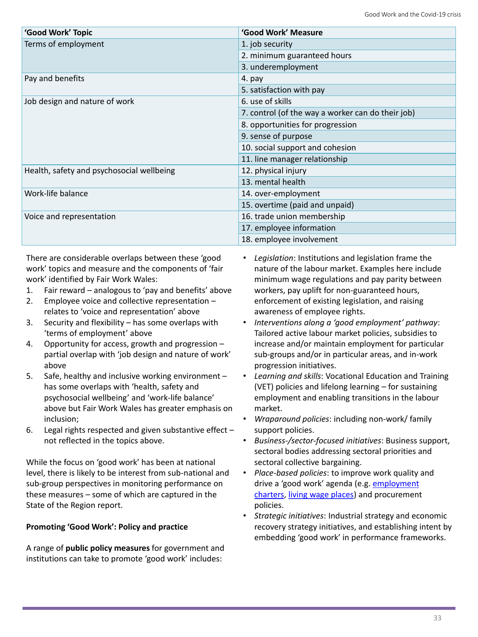There are considerable overlaps between these 'good work' topics and measure and the components of 'fair work' identified by Fair Work Wales:

- 1. Fair reward analogous to 'pay and benefits' above
- 2. Employee voice and collective representation relates to 'voice and representation' above
- 3. Security and flexibility has some overlaps with 'terms of employment' above
- 4. Opportunity for access, growth and progression partial overlap with 'job design and nature of work' above
- 5. Safe, healthy and inclusive working environment has some overlaps with 'health, safety and psychosocial wellbeing' and 'work-life balance' above but Fair Work Wales has greater emphasis on inclusion;
- 6. Legal rights respected and given substantive effect not reflected in the topics above.

While the focus on 'good work' has been at national level, there is likely to be interest from sub-national and sub-group perspectives in monitoring performance on these measures – some of which are captured in the State of the Region report.

#### **Promoting 'Good Work': Policy and practice**

A range of **public policy measures** for government and institutions can take to promote 'good work' includes:

- *Legislation*: Institutions and legislation frame the nature of the labour market. Examples here include minimum wage regulations and pay parity between workers, pay uplift for non-guaranteed hours, enforcement of existing legislation, and raising awareness of employee rights.
- *Interventions along a 'good employment' pathway*: Tailored active labour market policies, subsidies to increase and/or maintain employment for particular sub-groups and/or in particular areas, and in-work progression initiatives.
- *Learning and skills*: Vocational Education and Training (VET) policies and lifelong learning – for sustaining employment and enabling transitions in the labour market.
- *Wraparound policies*: including non-work/ family support policies.
- *Business-/sector-focused initiatives*: Business support,

- sectoral bodies addressing sectoral priorities and sectoral collective bargaining.
- *Place-based policies*: to improve work quality and drive a 'good work' agenda (e.g. employment [charters, living wage places\) and procurement](https://hummedia.manchester.ac.uk/institutes/mui/igau/briefings/IGAU-Employment-Charter-Briefing.pdf) policies.
- *Strategic initiatives*: Industrial strategy and economic recovery strategy initiatives, and establishing intent by embedding 'good work' in performance frameworks.

| 'Good Work' Topic                         | 'Good Work' Measure                               |  |  |
|-------------------------------------------|---------------------------------------------------|--|--|
| Terms of employment                       | 1. job security                                   |  |  |
|                                           | 2. minimum guaranteed hours                       |  |  |
|                                           | 3. underemployment                                |  |  |
| Pay and benefits                          | 4. pay                                            |  |  |
|                                           | 5. satisfaction with pay                          |  |  |
| Job design and nature of work             | 6. use of skills                                  |  |  |
|                                           | 7. control (of the way a worker can do their job) |  |  |
|                                           | 8. opportunities for progression                  |  |  |
|                                           | 9. sense of purpose                               |  |  |
|                                           | 10. social support and cohesion                   |  |  |
|                                           | 11. line manager relationship                     |  |  |
| Health, safety and psychosocial wellbeing | 12. physical injury                               |  |  |
|                                           | 13. mental health                                 |  |  |
| <b>Work-life balance</b>                  | 14. over-employment                               |  |  |
|                                           | 15. overtime (paid and unpaid)                    |  |  |
| Voice and representation                  | 16. trade union membership                        |  |  |
|                                           | 17. employee information                          |  |  |
|                                           | 18. employee involvement                          |  |  |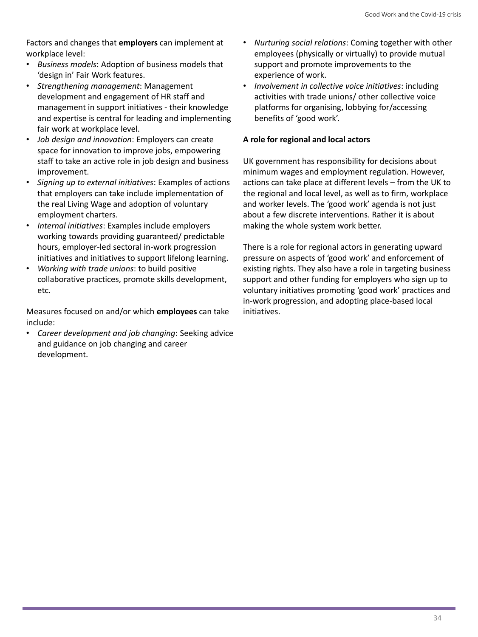Factors and changes that **employers** can implement at workplace level:

- *Business models*: Adoption of business models that 'design in' Fair Work features.
- *Strengthening management*: Management development and engagement of HR staff and management in support initiatives - their knowledge and expertise is central for leading and implementing fair work at workplace level.
- *Job design and innovation*: Employers can create space for innovation to improve jobs, empowering staff to take an active role in job design and business improvement.
- *Signing up to external initiatives*: Examples of actions that employers can take include implementation of the real Living Wage and adoption of voluntary employment charters.
- *Internal initiatives*: Examples include employers working towards providing guaranteed/ predictable hours, employer-led sectoral in-work progression initiatives and initiatives to support lifelong learning.
- *Working with trade unions*: to build positive collaborative practices, promote skills development, etc.

Measures focused on and/or which **employees** can take include:

• *Career development and job changing*: Seeking advice and guidance on job changing and career development.

- *Nurturing social relations*: Coming together with other employees (physically or virtually) to provide mutual support and promote improvements to the experience of work.
- *Involvement in collective voice initiatives*: including activities with trade unions/ other collective voice platforms for organising, lobbying for/accessing benefits of 'good work'.

#### **A role for regional and local actors**

UK government has responsibility for decisions about minimum wages and employment regulation. However, actions can take place at different levels – from the UK to the regional and local level, as well as to firm, workplace and worker levels. The 'good work' agenda is not just about a few discrete interventions. Rather it is about making the whole system work better.

There is a role for regional actors in generating upward pressure on aspects of 'good work' and enforcement of existing rights. They also have a role in targeting business support and other funding for employers who sign up to voluntary initiatives promoting 'good work' practices and in-work progression, and adopting place-based local initiatives.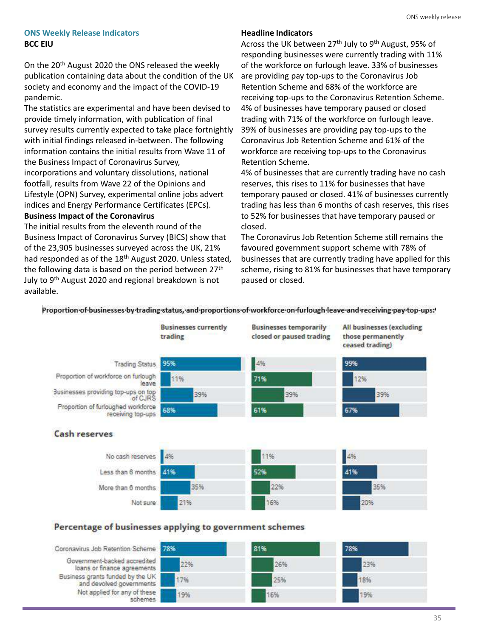#### **ONS Weekly Release Indicators BCC EIU**

On the 20<sup>th</sup> August 2020 the ONS released the weekly publication containing data about the condition of the UK society and economy and the impact of the COVID-19 pandemic.

The statistics are experimental and have been devised to provide timely information, with publication of final survey results currently expected to take place fortnightly with initial findings released in-between. The following information contains the initial results from Wave 11 of the Business Impact of Coronavirus Survey, incorporations and voluntary dissolutions, national footfall, results from Wave 22 of the Opinions and Lifestyle (OPN) Survey, experimental online jobs advert indices and Energy Performance Certificates (EPCs).

#### **Business Impact of the Coronavirus**

Across the UK between 27<sup>th</sup> July to 9<sup>th</sup> August, 95% of responding businesses were currently trading with 11% of the workforce on furlough leave. 33% of businesses are providing pay top-ups to the Coronavirus Job Retention Scheme and 68% of the workforce are receiving top-ups to the Coronavirus Retention Scheme. 4% of businesses have temporary paused or closed trading with 71% of the workforce on furlough leave. 39% of businesses are providing pay top-ups to the Coronavirus Job Retention Scheme and 61% of the workforce are receiving top-ups to the Coronavirus Retention Scheme.

The initial results from the eleventh round of the Business Impact of Coronavirus Survey (BICS) show that of the 23,905 businesses surveyed across the UK, 21% had responded as of the 18<sup>th</sup> August 2020. Unless stated, the following data is based on the period between 27<sup>th</sup> July to 9th August 2020 and regional breakdown is not available.

#### **Headline Indicators**

4% of businesses that are currently trading have no cash reserves, this rises to 11% for businesses that have temporary paused or closed. 41% of businesses currently trading has less than 6 months of cash reserves, this rises to 52% for businesses that have temporary paused or closed.

The Coronavirus Job Retention Scheme still remains the favoured government support scheme with 78% of businesses that are currently trading have applied for this scheme, rising to 81% for businesses that have temporary paused or closed.

Proportion of businesses by trading status, and proportions of workforce on furlough leave and receiving pay top-ups:



## **Cash reserves**



# Percentage of businesses applying to government schemes

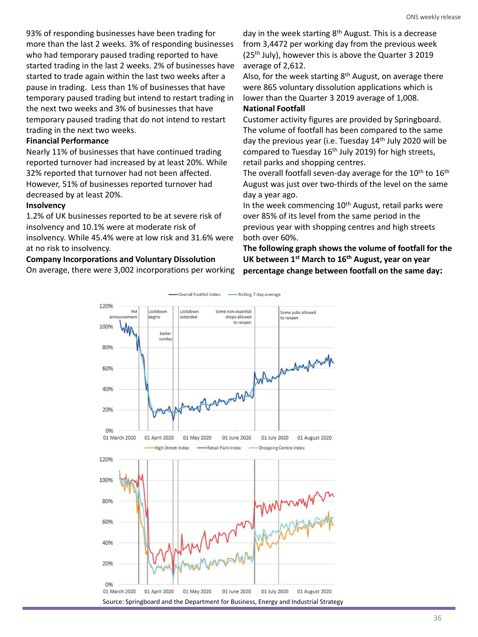93% of responding businesses have been trading for more than the last 2 weeks. 3% of responding businesses who had temporary paused trading reported to have started trading in the last 2 weeks. 2% of businesses have started to trade again within the last two weeks after a pause in trading. Less than 1% of businesses that have temporary paused trading but intend to restart trading in the next two weeks and 3% of businesses that have temporary paused trading that do not intend to restart trading in the next two weeks.

#### **Financial Performance**

day in the week starting 8<sup>th</sup> August. This is a decrease from 3,4472 per working day from the previous week  $(25<sup>th</sup>$  July), however this is above the Quarter 3 2019 average of 2,612.

Nearly 11% of businesses that have continued trading reported turnover had increased by at least 20%. While 32% reported that turnover had not been affected. However, 51% of businesses reported turnover had decreased by at least 20%.

Also, for the week starting 8<sup>th</sup> August, on average there were 865 voluntary dissolution applications which is lower than the Quarter 3 2019 average of 1,008.

#### **Insolvency**

1.2% of UK businesses reported to be at severe risk of insolvency and 10.1% were at moderate risk of insolvency. While 45.4% were at low risk and 31.6% were at no risk to insolvency.

The overall footfall seven-day average for the  $10<sup>th</sup>$  to  $16<sup>th</sup>$ August was just over two-thirds of the level on the same day a year ago.

In the week commencing 10<sup>th</sup> August, retail parks were over 85% of its level from the same period in the previous year with shopping centres and high streets both over 60%.

#### **Company Incorporations and Voluntary Dissolution**

On average, there were 3,002 incorporations per working

#### **National Footfall**

Customer activity figures are provided by Springboard. The volume of footfall has been compared to the same day the previous year (i.e. Tuesday 14th July 2020 will be compared to Tuesday 16<sup>th</sup> July 2019) for high streets, retail parks and shopping centres.

**The following graph shows the volume of footfall for the UK between 1st March to 16th August, year on year percentage change between footfall on the same day:**

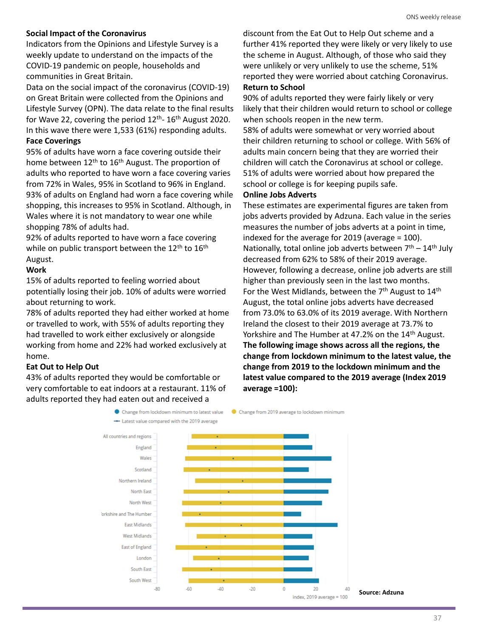#### **Social Impact of the Coronavirus**

Indicators from the Opinions and Lifestyle Survey is a weekly update to understand on the impacts of the COVID-19 pandemic on people, households and communities in Great Britain.

Data on the social impact of the coronavirus (COVID-19) on Great Britain were collected from the Opinions and Lifestyle Survey (OPN). The data relate to the final results for Wave 22, covering the period 12<sup>th</sup>- 16<sup>th</sup> August 2020. In this wave there were 1,533 (61%) responding adults.

#### **Face Coverings**

95% of adults have worn a face covering outside their home between 12<sup>th</sup> to 16<sup>th</sup> August. The proportion of adults who reported to have worn a face covering varies from 72% in Wales, 95% in Scotland to 96% in England. 93% of adults on England had worn a face covering while shopping, this increases to 95% in Scotland. Although, in Wales where it is not mandatory to wear one while shopping 78% of adults had.

92% of adults reported to have worn a face covering while on public transport between the 12<sup>th</sup> to 16<sup>th</sup> August.

#### **Work**

15% of adults reported to feeling worried about potentially losing their job. 10% of adults were worried about returning to work.

78% of adults reported they had either worked at home or travelled to work, with 55% of adults reporting they had travelled to work either exclusively or alongside working from home and 22% had worked exclusively at home.

## **Eat Out to Help Out**

43% of adults reported they would be comfortable or very comfortable to eat indoors at a restaurant. 11% of adults reported they had eaten out and received a

discount from the Eat Out to Help Out scheme and a further 41% reported they were likely or very likely to use the scheme in August. Although, of those who said they were unlikely or very unlikely to use the scheme, 51% reported they were worried about catching Coronavirus.

#### **Return to School**

90% of adults reported they were fairly likely or very likely that their children would return to school or college when schools reopen in the new term.

58% of adults were somewhat or very worried about their children returning to school or college. With 56% of adults main concern being that they are worried their children will catch the Coronavirus at school or college. 51% of adults were worried about how prepared the school or college is for keeping pupils safe.

#### **Online Jobs Adverts**

These estimates are experimental figures are taken from jobs adverts provided by Adzuna. Each value in the series measures the number of jobs adverts at a point in time, indexed for the average for 2019 (average = 100). Nationally, total online job adverts between  $7<sup>th</sup> - 14<sup>th</sup>$  July decreased from 62% to 58% of their 2019 average. However, following a decrease, online job adverts are still higher than previously seen in the last two months. For the West Midlands, between the  $7<sup>th</sup>$  August to  $14<sup>th</sup>$ August, the total online jobs adverts have decreased from 73.0% to 63.0% of its 2019 average. With Northern Ireland the closest to their 2019 average at 73.7% to Yorkshire and The Humber at 47.2% on the 14<sup>th</sup> August. **The following image shows across all the regions, the change from lockdown minimum to the latest value, the change from 2019 to the lockdown minimum and the latest value compared to the 2019 average (Index 2019 average =100):**

Change from 2019 average to lockdown minimum



Change from lockdown minimum to latest value

- Latest value compared with the 2019 average

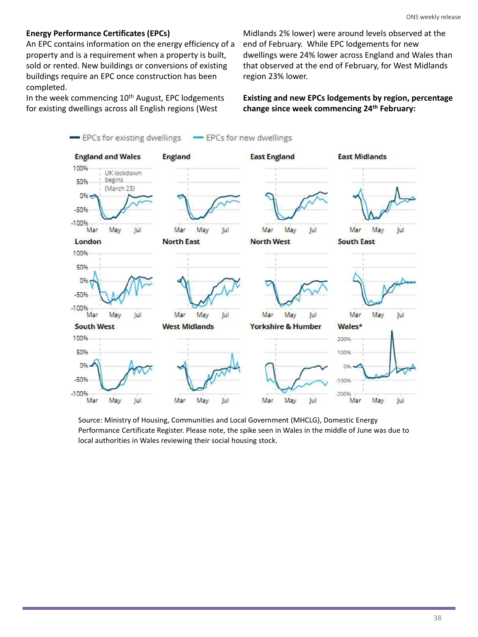## **Energy Performance Certificates (EPCs)**

An EPC contains information on the energy efficiency of a property and is a requirement when a property is built, sold or rented. New buildings or conversions of existing buildings require an EPC once construction has been completed.

In the week commencing 10<sup>th</sup> August, EPC lodgements for existing dwellings across all English regions (West

Midlands 2% lower) were around levels observed at the end of February. While EPC lodgements for new dwellings were 24% lower across England and Wales than that observed at the end of February, for West Midlands region 23% lower.

**Existing and new EPCs lodgements by region, percentage change since week commencing 24th February:**



Source: Ministry of Housing, Communities and Local Government (MHCLG), Domestic Energy Performance Certificate Register. Please note, the spike seen in Wales in the middle of June was due to local authorities in Wales reviewing their social housing stock.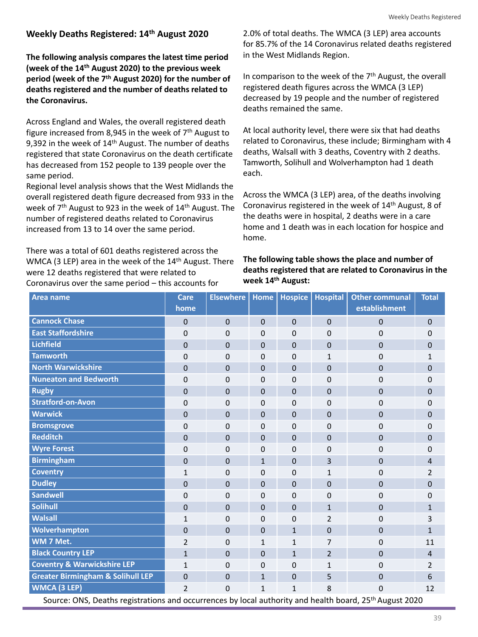## **Weekly Deaths Registered: 14th August 2020**

**The following analysis compares the latest time period (week of the 14th August 2020) to the previous week period (week of the 7th August 2020) for the number of deaths registered and the number of deaths related to the Coronavirus.**

Across England and Wales, the overall registered death figure increased from 8,945 in the week of  $7<sup>th</sup>$  August to 9,392 in the week of 14<sup>th</sup> August. The number of deaths registered that state Coronavirus on the death certificate has decreased from 152 people to 139 people over the same period.

In comparison to the week of the 7<sup>th</sup> August, the overall registered death figures across the WMCA (3 LEP) decreased by 19 people and the number of registered deaths remained the same.

Regional level analysis shows that the West Midlands the overall registered death figure decreased from 933 in the week of 7<sup>th</sup> August to 923 in the week of 14<sup>th</sup> August. The number of registered deaths related to Coronavirus increased from 13 to 14 over the same period.

There was a total of 601 deaths registered across the WMCA (3 LEP) area in the week of the 14<sup>th</sup> August. There were 12 deaths registered that were related to Coronavirus over the same period – this accounts for

2.0% of total deaths. The WMCA (3 LEP) area accounts for 85.7% of the 14 Coronavirus related deaths registered in the West Midlands Region.

At local authority level, there were six that had deaths related to Coronavirus, these include; Birmingham with 4 deaths, Walsall with 3 deaths, Coventry with 2 deaths. Tamworth, Solihull and Wolverhampton had 1 death each.

Across the WMCA (3 LEP) area, of the deaths involving Coronavirus registered in the week of 14<sup>th</sup> August, 8 of the deaths were in hospital, 2 deaths were in a care home and 1 death was in each location for hospice and home.

**The following table shows the place and number of deaths registered that are related to Coronavirus in the week 14th August:**

| Area name                                    | <b>Care</b>      | Elsewhere   Home |                  | <b>Hospice</b> | <b>Hospital</b> | <b>Other communal</b> | <b>Total</b>   |
|----------------------------------------------|------------------|------------------|------------------|----------------|-----------------|-----------------------|----------------|
|                                              | home             |                  |                  |                |                 | establishment         |                |
| <b>Cannock Chase</b>                         | $\mathbf 0$      | $\overline{0}$   | $\overline{0}$   | $\overline{0}$ | $\overline{0}$  | $\overline{0}$        | $\overline{0}$ |
| <b>East Staffordshire</b>                    | $\mathbf 0$      | $\mathbf 0$      | $\mathbf 0$      | $\mathbf 0$    | $\mathbf 0$     | $\overline{0}$        | $\overline{0}$ |
| Lichfield                                    | $\boldsymbol{0}$ | $\overline{0}$   | $\overline{0}$   | $\mathbf 0$    | $\mathbf 0$     | $\mathbf 0$           | $\overline{0}$ |
| <b>Tamworth</b>                              | $\boldsymbol{0}$ | $\overline{0}$   | $\mathbf 0$      | $\mathbf 0$    | $\mathbf{1}$    | $\overline{0}$        | $\mathbf{1}$   |
| <b>North Warwickshire</b>                    | $\mathbf 0$      | $\overline{0}$   | $\overline{0}$   | $\mathbf 0$    | $\mathbf 0$     | $\overline{0}$        | $\overline{0}$ |
| <b>Nuneaton and Bedworth</b>                 | $\mathbf 0$      | $\overline{0}$   | $\overline{0}$   | $\mathbf 0$    | $\overline{0}$  | $\overline{0}$        | $\mathbf 0$    |
| <b>Rugby</b>                                 | $\overline{0}$   | $\overline{0}$   | $\overline{0}$   | $\mathbf 0$    | $\overline{0}$  | $\overline{0}$        | $\overline{0}$ |
| <b>Stratford-on-Avon</b>                     | $\mathbf 0$      | $\overline{0}$   | $\overline{0}$   | $\overline{0}$ | $\overline{0}$  | $\overline{0}$        | $\overline{0}$ |
| <b>Warwick</b>                               | $\overline{0}$   | $\overline{0}$   | $\overline{0}$   | $\overline{0}$ | $\overline{0}$  | $\overline{0}$        | $\overline{0}$ |
| <b>Bromsgrove</b>                            | $\mathbf 0$      | $\overline{0}$   | $\overline{0}$   | $\mathbf 0$    | $\overline{0}$  | $\overline{0}$        | $\overline{0}$ |
| <b>Redditch</b>                              | $\overline{0}$   | $\overline{0}$   | $\overline{0}$   | $\mathbf 0$    | $\overline{0}$  | $\overline{0}$        | $\overline{0}$ |
| <b>Wyre Forest</b>                           | $\mathbf 0$      | $\overline{0}$   | $\mathbf 0$      | $\mathbf 0$    | $\overline{0}$  | $\overline{0}$        | $\overline{0}$ |
| <b>Birmingham</b>                            | $\overline{0}$   | $\overline{0}$   | $\mathbf{1}$     | $\overline{0}$ | 3               | $\overline{0}$        | $\overline{4}$ |
| <b>Coventry</b>                              | $\mathbf{1}$     | $\overline{0}$   | $\mathbf 0$      | $\mathbf 0$    | $\mathbf{1}$    | $\overline{0}$        | $\overline{2}$ |
| <b>Dudley</b>                                | $\overline{0}$   | $\overline{0}$   | $\overline{0}$   | $\overline{0}$ | $\overline{0}$  | $\overline{0}$        | $\overline{0}$ |
| <b>Sandwell</b>                              | $\boldsymbol{0}$ | $\overline{0}$   | $\mathbf 0$      | $\mathbf 0$    | $\mathbf 0$     | $\overline{0}$        | $\overline{0}$ |
| <b>Solihull</b>                              | $\mathbf 0$      | $\overline{0}$   | $\overline{0}$   | $\mathbf 0$    | $\mathbf{1}$    | $\overline{0}$        | $\mathbf{1}$   |
| <b>Walsall</b>                               |                  | $\overline{0}$   | $\boldsymbol{0}$ | $\overline{0}$ | $\overline{2}$  | 0                     | 3              |
| Wolverhampton                                | $\overline{0}$   | $\overline{0}$   | $\overline{0}$   | $\mathbf{1}$   | $\overline{0}$  | $\overline{0}$        | $\mathbf{1}$   |
| $\overline{\mathsf{WM}}$ 7 Met.              | $\overline{2}$   | $\overline{0}$   | $\mathbf 1$      | $\mathbf{1}$   | $\overline{7}$  | 0                     | 11             |
| <b>Black Country LEP</b>                     | $\mathbf{1}$     | $\overline{0}$   | $\overline{0}$   | $\mathbf{1}$   | $\overline{2}$  | $\overline{0}$        | $\overline{4}$ |
| <b>Coventry &amp; Warwickshire LEP</b>       | $\mathbf 1$      | $\Omega$         | $\overline{0}$   | $\overline{0}$ | $\mathbf 1$     | 0                     | $\overline{2}$ |
| <b>Greater Birmingham &amp; Solihull LEP</b> | $\overline{0}$   | $\overline{0}$   | $\mathbf{1}$     | $\overline{0}$ | 5 <sup>1</sup>  | $\overline{0}$        | 6              |
| <b>WMCA (3 LEP)</b>                          | $\overline{2}$   | $\mathbf 0$      | $\mathbf 1$      | $\mathbf{1}$   | 8               | $\overline{0}$        | 12             |

Source: ONS, Deaths registrations and occurrences by local authority and health board, 25<sup>th</sup> August 2020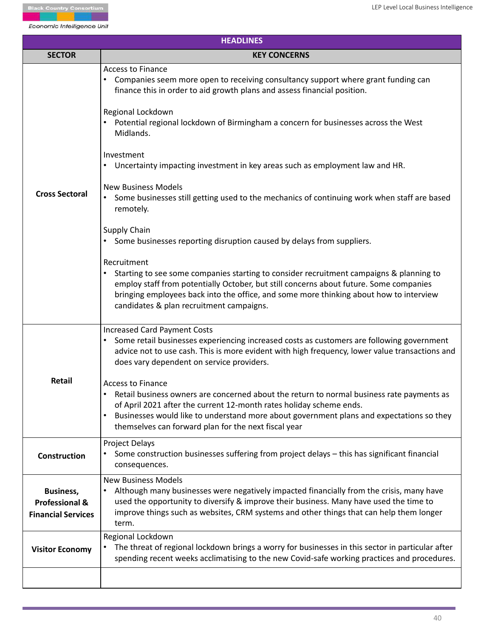| <b>HEADLINES</b>                                                           |                                                                                                                                                                                                                                                                                                                                                  |  |  |  |
|----------------------------------------------------------------------------|--------------------------------------------------------------------------------------------------------------------------------------------------------------------------------------------------------------------------------------------------------------------------------------------------------------------------------------------------|--|--|--|
| <b>SECTOR</b>                                                              | <b>KEY CONCERNS</b>                                                                                                                                                                                                                                                                                                                              |  |  |  |
|                                                                            | <b>Access to Finance</b><br>Companies seem more open to receiving consultancy support where grant funding can<br>finance this in order to aid growth plans and assess financial position.                                                                                                                                                        |  |  |  |
|                                                                            | Regional Lockdown<br>Potential regional lockdown of Birmingham a concern for businesses across the West<br>Midlands.                                                                                                                                                                                                                             |  |  |  |
|                                                                            | Investment<br>Uncertainty impacting investment in key areas such as employment law and HR.                                                                                                                                                                                                                                                       |  |  |  |
| <b>Cross Sectoral</b>                                                      | <b>New Business Models</b><br>Some businesses still getting used to the mechanics of continuing work when staff are based<br>remotely.                                                                                                                                                                                                           |  |  |  |
|                                                                            | <b>Supply Chain</b><br>Some businesses reporting disruption caused by delays from suppliers.                                                                                                                                                                                                                                                     |  |  |  |
|                                                                            | Recruitment<br>Starting to see some companies starting to consider recruitment campaigns & planning to<br>employ staff from potentially October, but still concerns about future. Some companies<br>bringing employees back into the office, and some more thinking about how to interview<br>candidates & plan recruitment campaigns.           |  |  |  |
|                                                                            | <b>Increased Card Payment Costs</b><br>Some retail businesses experiencing increased costs as customers are following government<br>$\bullet$<br>advice not to use cash. This is more evident with high frequency, lower value transactions and<br>does vary dependent on service providers.                                                     |  |  |  |
| <b>Retail</b>                                                              | <b>Access to Finance</b><br>Retail business owners are concerned about the return to normal business rate payments as<br>of April 2021 after the current 12-month rates holiday scheme ends.<br>Businesses would like to understand more about government plans and expectations so they<br>themselves can forward plan for the next fiscal year |  |  |  |
| <b>Construction</b>                                                        | <b>Project Delays</b><br>Some construction businesses suffering from project delays – this has significant financial<br>consequences.                                                                                                                                                                                                            |  |  |  |
| <b>Business,</b><br><b>Professional &amp;</b><br><b>Financial Services</b> | <b>New Business Models</b><br>Although many businesses were negatively impacted financially from the crisis, many have<br>used the opportunity to diversify & improve their business. Many have used the time to<br>improve things such as websites, CRM systems and other things that can help them longer<br>term.                             |  |  |  |
| <b>Visitor Economy</b>                                                     | Regional Lockdown<br>The threat of regional lockdown brings a worry for businesses in this sector in particular after<br>spending recent weeks acclimatising to the new Covid-safe working practices and procedures.                                                                                                                             |  |  |  |
|                                                                            |                                                                                                                                                                                                                                                                                                                                                  |  |  |  |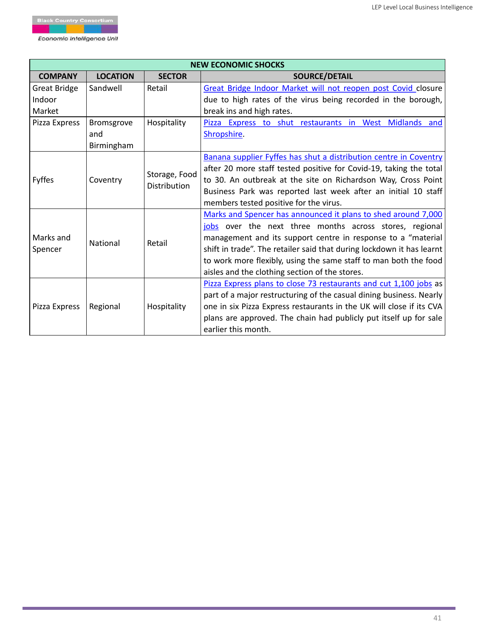

| <b>NEW ECONOMIC SHOCKS</b> |                   |                               |                                                                       |  |
|----------------------------|-------------------|-------------------------------|-----------------------------------------------------------------------|--|
| <b>COMPANY</b>             | <b>LOCATION</b>   | <b>SECTOR</b>                 | <b>SOURCE/DETAIL</b>                                                  |  |
| <b>Great Bridge</b>        | Sandwell          | Retail                        | Great Bridge Indoor Market will not reopen post Covid closure         |  |
| Indoor                     |                   |                               | due to high rates of the virus being recorded in the borough,         |  |
| Market                     |                   |                               | break ins and high rates.                                             |  |
| Pizza Express              | <b>Bromsgrove</b> | Hospitality                   | Express to shut restaurants in<br>West<br>Midlands and<br>Pizza       |  |
|                            | and               |                               | Shropshire.                                                           |  |
|                            | <b>Birmingham</b> |                               |                                                                       |  |
|                            |                   |                               | Banana supplier Fyffes has shut a distribution centre in Coventry     |  |
|                            |                   | Storage, Food<br>Distribution | after 20 more staff tested positive for Covid-19, taking the total    |  |
| <b>Fyffes</b>              | Coventry          |                               | to 30. An outbreak at the site on Richardson Way, Cross Point         |  |
|                            |                   |                               | Business Park was reported last week after an initial 10 staff        |  |
|                            |                   |                               | members tested positive for the virus.                                |  |
|                            |                   |                               | Marks and Spencer has announced it plans to shed around 7,000         |  |
|                            | <b>National</b>   | Retail                        | jobs over the next three months across stores, regional               |  |
| Marks and<br>Spencer       |                   |                               | management and its support centre in response to a "material"         |  |
|                            |                   |                               | shift in trade". The retailer said that during lockdown it has learnt |  |
|                            |                   |                               | to work more flexibly, using the same staff to man both the food      |  |
|                            |                   |                               | aisles and the clothing section of the stores.                        |  |
|                            | Regional          | Hospitality                   | Pizza Express plans to close 73 restaurants and cut 1,100 jobs as     |  |
| Pizza Express              |                   |                               | part of a major restructuring of the casual dining business. Nearly   |  |
|                            |                   |                               | one in six Pizza Express restaurants in the UK will close if its CVA  |  |
|                            |                   |                               | plans are approved. The chain had publicly put itself up for sale     |  |
|                            |                   |                               | earlier this month.                                                   |  |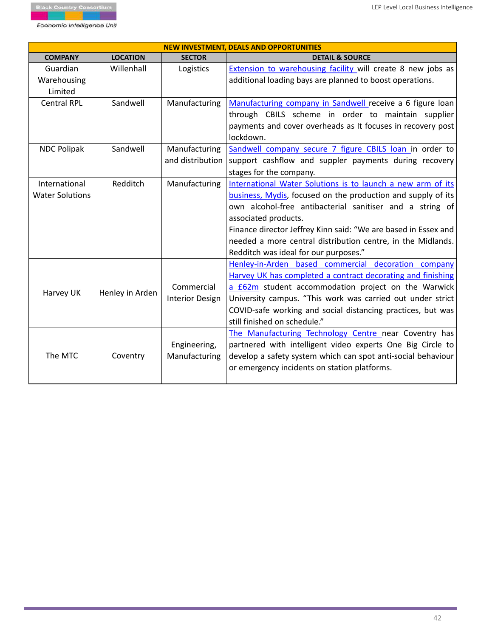| <b>NEW INVESTMENT, DEALS AND OPPORTUNITIES</b> |                 |                        |                                                                    |
|------------------------------------------------|-----------------|------------------------|--------------------------------------------------------------------|
| <b>COMPANY</b>                                 | <b>LOCATION</b> | <b>SECTOR</b>          | <b>DETAIL &amp; SOURCE</b>                                         |
| Guardian                                       | Willenhall      | Logistics              | <b>Extension to warehousing facility will create 8 new jobs as</b> |
| <b>Warehousing</b>                             |                 |                        | additional loading bays are planned to boost operations.           |
| Limited                                        |                 |                        |                                                                    |
| <b>Central RPL</b>                             | Sandwell        | <b>Manufacturing</b>   | Manufacturing company in Sandwell receive a 6 figure loan          |
|                                                |                 |                        | through CBILS scheme in order to maintain supplier                 |
|                                                |                 |                        | payments and cover overheads as It focuses in recovery post        |
|                                                |                 |                        | lockdown.                                                          |
| <b>NDC Polipak</b>                             | Sandwell        | Manufacturing          | Sandwell company secure 7 figure CBILS loan in order to            |
|                                                |                 | and distribution       | support cashflow and suppler payments during recovery              |
|                                                |                 |                        | stages for the company.                                            |
| International                                  | Redditch        | Manufacturing          | International Water Solutions is to launch a new arm of its        |
| <b>Water Solutions</b>                         |                 |                        | business, Mydis, focused on the production and supply of its       |
|                                                |                 |                        | own alcohol-free antibacterial sanitiser and a string of           |
|                                                |                 |                        | associated products.                                               |
|                                                |                 |                        | Finance director Jeffrey Kinn said: "We are based in Essex and     |
|                                                |                 |                        | needed a more central distribution centre, in the Midlands.        |
|                                                |                 |                        | Redditch was ideal for our purposes."                              |
|                                                |                 |                        | Henley-in-Arden based commercial decoration company                |
|                                                |                 |                        | Harvey UK has completed a contract decorating and finishing        |
|                                                |                 | Commercial             | a £62m student accommodation project on the Warwick                |
| Harvey UK                                      | Henley in Arden | <b>Interior Design</b> | University campus. "This work was carried out under strict         |
|                                                |                 |                        | COVID-safe working and social distancing practices, but was        |
|                                                |                 |                        | still finished on schedule."                                       |
|                                                |                 |                        | The Manufacturing Technology Centre near Coventry has              |
|                                                |                 | Engineering,           | partnered with intelligent video experts One Big Circle to         |
| The MTC                                        | Coventry        | Manufacturing          | develop a safety system which can spot anti-social behaviour       |
|                                                |                 |                        | or emergency incidents on station platforms.                       |
|                                                |                 |                        |                                                                    |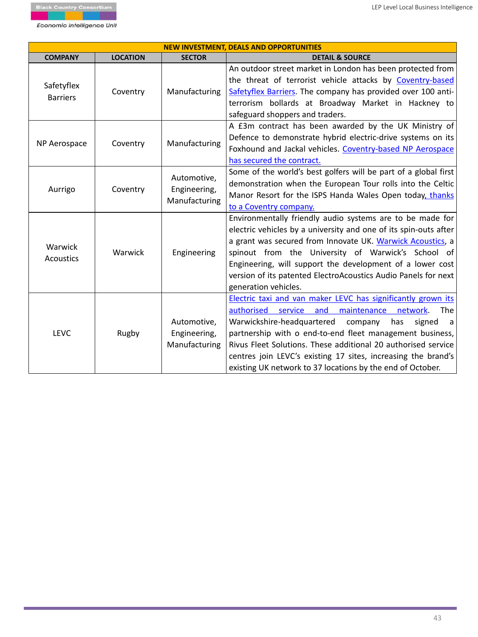| <b>NEW INVESTMENT, DEALS AND OPPORTUNITIES</b> |                 |                                                     |                                                                     |  |
|------------------------------------------------|-----------------|-----------------------------------------------------|---------------------------------------------------------------------|--|
| <b>COMPANY</b>                                 | <b>LOCATION</b> | <b>SECTOR</b>                                       | <b>DETAIL &amp; SOURCE</b>                                          |  |
|                                                |                 |                                                     | An outdoor street market in London has been protected from          |  |
| Safetyflex                                     |                 |                                                     | the threat of terrorist vehicle attacks by Coventry-based           |  |
| <b>Barriers</b>                                | Coventry        | <b>Manufacturing</b>                                | Safetyflex Barriers. The company has provided over 100 anti-        |  |
|                                                |                 |                                                     | terrorism bollards at Broadway Market in Hackney to                 |  |
|                                                |                 |                                                     | safeguard shoppers and traders.                                     |  |
|                                                |                 |                                                     | A E3m contract has been awarded by the UK Ministry of               |  |
| NP Aerospace                                   | Coventry        | Manufacturing                                       | Defence to demonstrate hybrid electric-drive systems on its         |  |
|                                                |                 |                                                     | Foxhound and Jackal vehicles. Coventry-based NP Aerospace           |  |
|                                                |                 |                                                     | has secured the contract.                                           |  |
|                                                |                 | Automotive,<br>Engineering,<br><b>Manufacturing</b> | Some of the world's best golfers will be part of a global first     |  |
| Aurrigo                                        | Coventry        |                                                     | demonstration when the European Tour rolls into the Celtic          |  |
|                                                |                 |                                                     | Manor Resort for the ISPS Handa Wales Open today, thanks            |  |
|                                                |                 |                                                     | to a Coventry company.                                              |  |
|                                                |                 | Engineering                                         | Environmentally friendly audio systems are to be made for           |  |
|                                                |                 |                                                     | electric vehicles by a university and one of its spin-outs after    |  |
| <b>Warwick</b>                                 |                 |                                                     | a grant was secured from Innovate UK. Warwick Acoustics, a          |  |
| <b>Acoustics</b>                               | <b>Warwick</b>  |                                                     | spinout from the University of Warwick's School of                  |  |
|                                                |                 |                                                     | Engineering, will support the development of a lower cost           |  |
|                                                |                 |                                                     | version of its patented ElectroAcoustics Audio Panels for next      |  |
|                                                |                 |                                                     | generation vehicles.                                                |  |
|                                                |                 |                                                     | <b>Electric taxi and van maker LEVC has significantly grown its</b> |  |
|                                                |                 |                                                     | authorised service<br>maintenance<br>and<br>network.<br><b>The</b>  |  |
| <b>LEVC</b>                                    | Rugby           | Automotive,                                         | Warwickshire-headquartered<br>company<br>has<br>signed<br>a         |  |
|                                                |                 | Engineering,                                        | partnership with o end-to-end fleet management business,            |  |
|                                                |                 | <b>Manufacturing</b>                                | Rivus Fleet Solutions. These additional 20 authorised service       |  |
|                                                |                 |                                                     | centres join LEVC's existing 17 sites, increasing the brand's       |  |
|                                                |                 |                                                     | existing UK network to 37 locations by the end of October.          |  |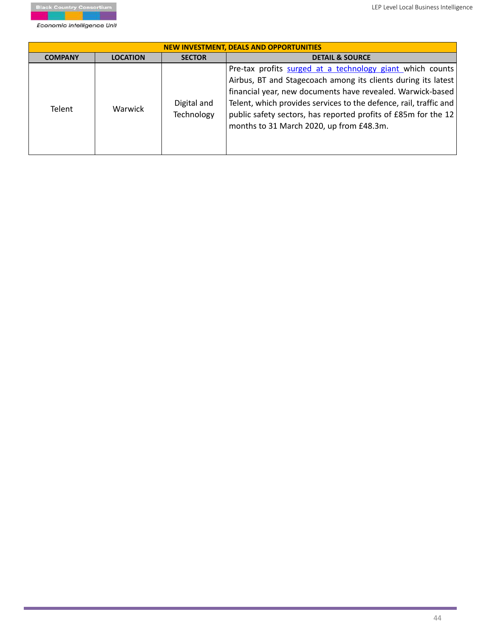

| <b>NEW INVESTMENT, DEALS AND OPPORTUNITIES</b> |                 |                           |                                                                                                                                                                                                                                                                                                                                                                             |  |
|------------------------------------------------|-----------------|---------------------------|-----------------------------------------------------------------------------------------------------------------------------------------------------------------------------------------------------------------------------------------------------------------------------------------------------------------------------------------------------------------------------|--|
| <b>COMPANY</b>                                 | <b>LOCATION</b> | <b>SECTOR</b>             | <b>DETAIL &amp; SOURCE</b>                                                                                                                                                                                                                                                                                                                                                  |  |
| <b>Telent</b>                                  | <b>Warwick</b>  | Digital and<br>Technology | Pre-tax profits surged at a technology giant which counts<br>Airbus, BT and Stagecoach among its clients during its latest<br>financial year, new documents have revealed. Warwick-based<br>Telent, which provides services to the defence, rail, traffic and<br>public safety sectors, has reported profits of £85m for the 12<br>months to 31 March 2020, up from £48.3m. |  |